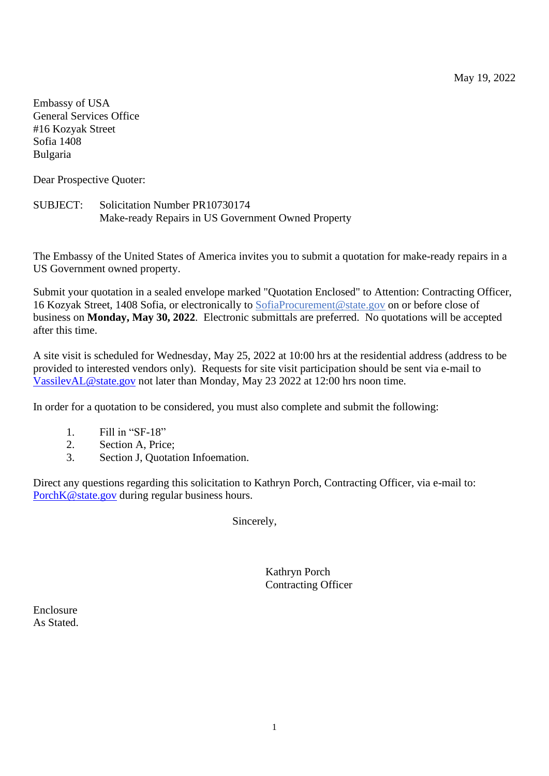May 19, 2022

Embassy of USA General Services Office #16 Kozyak Street Sofia 1408 Bulgaria

Dear Prospective Quoter:

SUBJECT: Solicitation Number PR10730174 Make-ready Repairs in US Government Owned Property

The Embassy of the United States of America invites you to submit a quotation for make-ready repairs in a US Government owned property.

Submit your quotation in a sealed envelope marked "Quotation Enclosed" to Attention: Contracting Officer, 16 Kozyak Street, 1408 Sofia, or electronically to [SofiaProcurement@state.gov](mailto:SofiaProcurement@state.gov) on or before close of business on **Monday, May 30, 2022**. Electronic submittals are preferred. No quotations will be accepted after this time.

A site visit is scheduled for Wednesday, May 25, 2022 at 10:00 hrs at the residential address (address to be provided to interested vendors only). Requests for site visit participation should be sent via e-mail to [VassilevAL@state.gov](mailto:VassilevAL@state.gov) not later than Monday, May 23 2022 at 12:00 hrs noon time.

In order for a quotation to be considered, you must also complete and submit the following:

- 1. Fill in "SF-18"
- 2. Section A, Price;
- 3. Section J, Quotation Infoemation.

Direct any questions regarding this solicitation to Kathryn Porch, Contracting Officer, via e-mail to: [PorchK@state.gov](mailto:PorchK@state.gov) during regular business hours.

Sincerely,

Kathryn Porch Contracting Officer

Enclosure As Stated.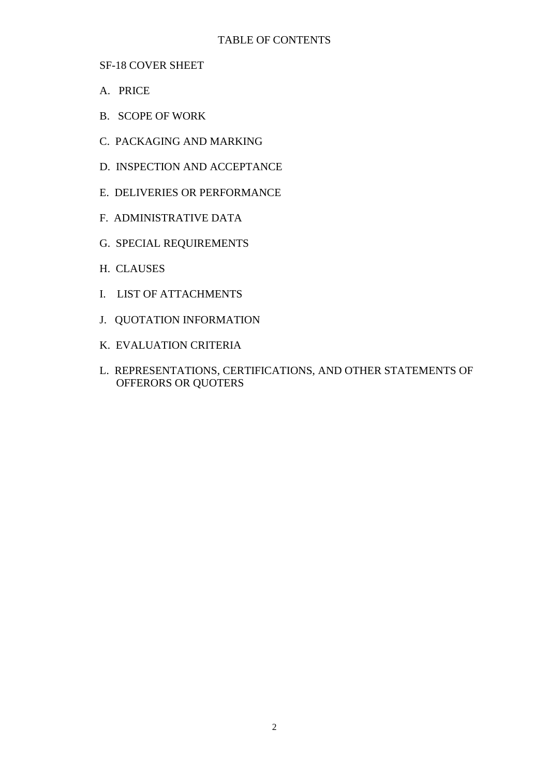#### SF-18 COVER SHEET

- A. PRICE
- B. SCOPE OF WORK
- C. PACKAGING AND MARKING
- D. INSPECTION AND ACCEPTANCE
- E. DELIVERIES OR PERFORMANCE
- F. ADMINISTRATIVE DATA
- G. SPECIAL REQUIREMENTS
- H. CLAUSES
- I. LIST OF ATTACHMENTS
- J. QUOTATION INFORMATION
- K. EVALUATION CRITERIA
- L. REPRESENTATIONS, CERTIFICATIONS, AND OTHER STATEMENTS OF OFFERORS OR QUOTERS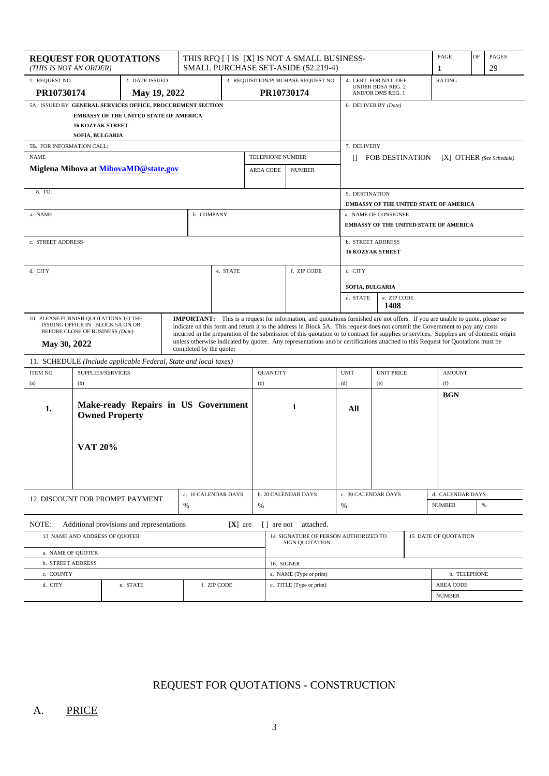| <b>REQUEST FOR QUOTATIONS</b><br>(THIS IS NOT AN ORDER)                                                                                                                                                                                                                                                                                                                                                                                                                                                                                        |                                           | THIS RFQ [ ] IS [X] IS NOT A SMALL BUSINESS-<br>SMALL PURCHASE SET-ASIDE (52.219-4) |                                     |                                                                                                                                 |                     |                                       |                                               |                       | OF                      | <b>PAGES</b><br>29 |                                        |  |                            |
|------------------------------------------------------------------------------------------------------------------------------------------------------------------------------------------------------------------------------------------------------------------------------------------------------------------------------------------------------------------------------------------------------------------------------------------------------------------------------------------------------------------------------------------------|-------------------------------------------|-------------------------------------------------------------------------------------|-------------------------------------|---------------------------------------------------------------------------------------------------------------------------------|---------------------|---------------------------------------|-----------------------------------------------|-----------------------|-------------------------|--------------------|----------------------------------------|--|----------------------------|
| 1. REQUEST NO.<br>2. DATE ISSUED                                                                                                                                                                                                                                                                                                                                                                                                                                                                                                               |                                           |                                                                                     |                                     | 3. REQUISITION/PURCHASE REQUEST NO.                                                                                             |                     |                                       | 4. CERT. FOR NAT. DEF.                        |                       | <b>RATING</b>           |                    |                                        |  |                            |
| PR10730174<br>May 19, 2022                                                                                                                                                                                                                                                                                                                                                                                                                                                                                                                     |                                           |                                                                                     |                                     | PR10730174                                                                                                                      |                     |                                       | <b>UNDER BDSA REG. 2</b><br>AND/OR DMS REG. 1 |                       |                         |                    |                                        |  |                            |
| 5A. ISSUED BY GENERAL SERVICES OFFICE, PROCUREMENT SECTION                                                                                                                                                                                                                                                                                                                                                                                                                                                                                     |                                           |                                                                                     |                                     |                                                                                                                                 |                     |                                       | 6. DELIVER BY (Date)                          |                       |                         |                    |                                        |  |                            |
|                                                                                                                                                                                                                                                                                                                                                                                                                                                                                                                                                | EMBASSY OF THE UNITED STATE OF AMERICA    |                                                                                     |                                     |                                                                                                                                 |                     |                                       |                                               |                       |                         |                    |                                        |  |                            |
| <b>16 KOZYAK STREET</b>                                                                                                                                                                                                                                                                                                                                                                                                                                                                                                                        |                                           |                                                                                     |                                     |                                                                                                                                 |                     |                                       |                                               |                       |                         |                    |                                        |  |                            |
| 5B. FOR INFORMATION CALL:                                                                                                                                                                                                                                                                                                                                                                                                                                                                                                                      | SOFIA, BULGARIA                           |                                                                                     |                                     |                                                                                                                                 |                     |                                       |                                               | 7. DELIVERY           |                         |                    |                                        |  |                            |
| <b>NAME</b>                                                                                                                                                                                                                                                                                                                                                                                                                                                                                                                                    |                                           |                                                                                     |                                     |                                                                                                                                 |                     |                                       |                                               | FOB DESTINATION<br>H. |                         |                    |                                        |  | $[X]$ OTHER (See Schedule) |
| Miglena Mihova at MihovaMD@state.gov                                                                                                                                                                                                                                                                                                                                                                                                                                                                                                           |                                           |                                                                                     |                                     |                                                                                                                                 |                     | AREA CODE                             | TELEPHONE NUMBER                              |                       |                         |                    |                                        |  |                            |
|                                                                                                                                                                                                                                                                                                                                                                                                                                                                                                                                                |                                           |                                                                                     |                                     |                                                                                                                                 |                     |                                       | <b>NUMBER</b>                                 |                       |                         |                    |                                        |  |                            |
| 8. TO:                                                                                                                                                                                                                                                                                                                                                                                                                                                                                                                                         |                                           |                                                                                     |                                     |                                                                                                                                 |                     |                                       |                                               | 9. DESTINATION        |                         |                    |                                        |  |                            |
|                                                                                                                                                                                                                                                                                                                                                                                                                                                                                                                                                |                                           |                                                                                     |                                     |                                                                                                                                 |                     |                                       |                                               |                       |                         |                    | EMBASSY OF THE UNITED STATE OF AMERICA |  |                            |
| a. NAME                                                                                                                                                                                                                                                                                                                                                                                                                                                                                                                                        |                                           |                                                                                     |                                     | b. COMPANY                                                                                                                      |                     |                                       |                                               |                       | a. NAME OF CONSIGNEE    |                    |                                        |  |                            |
|                                                                                                                                                                                                                                                                                                                                                                                                                                                                                                                                                |                                           |                                                                                     |                                     |                                                                                                                                 |                     |                                       |                                               |                       |                         |                    | EMBASSY OF THE UNITED STATE OF AMERICA |  |                            |
| c. STREET ADDRESS                                                                                                                                                                                                                                                                                                                                                                                                                                                                                                                              |                                           |                                                                                     |                                     |                                                                                                                                 |                     |                                       |                                               |                       | b. STREET ADDRESS       |                    |                                        |  |                            |
|                                                                                                                                                                                                                                                                                                                                                                                                                                                                                                                                                |                                           |                                                                                     |                                     |                                                                                                                                 |                     |                                       |                                               |                       | <b>16 KOZYAK STREET</b> |                    |                                        |  |                            |
| d. CITY                                                                                                                                                                                                                                                                                                                                                                                                                                                                                                                                        |                                           |                                                                                     |                                     |                                                                                                                                 | e. STATE            |                                       | f. ZIP CODE                                   | c. CITY               |                         |                    |                                        |  |                            |
|                                                                                                                                                                                                                                                                                                                                                                                                                                                                                                                                                |                                           |                                                                                     |                                     |                                                                                                                                 |                     |                                       |                                               |                       | <b>SOFIA, BULGARIA</b>  |                    |                                        |  |                            |
|                                                                                                                                                                                                                                                                                                                                                                                                                                                                                                                                                |                                           |                                                                                     |                                     |                                                                                                                                 |                     |                                       |                                               |                       | e. ZIP CODE<br>d. STATE |                    |                                        |  |                            |
|                                                                                                                                                                                                                                                                                                                                                                                                                                                                                                                                                |                                           |                                                                                     |                                     |                                                                                                                                 |                     |                                       | 1408                                          |                       |                         |                    |                                        |  |                            |
| 10. PLEASE FURNISH QUOTATIONS TO THE<br><b>IMPORTANT:</b> This is a request for information, and quotations furnished are not offers. If you are unable to quote, please so<br>ISSUING OFFICE IN BLOCK 5A ON OR<br>indicate on this form and return it to the address in Block 5A. This request does not commit the Government to pay any costs<br>BEFORE CLOSE OF BUSINESS (Date)<br>incurred in the preparation of the submission of this quotation or to contract for supplies or services. Supplies are of domestic origin<br>May 30, 2022 |                                           |                                                                                     |                                     | unless otherwise indicated by quoter. Any representations and/or certifications attached to this Request for Quotations must be |                     |                                       |                                               |                       |                         |                    |                                        |  |                            |
|                                                                                                                                                                                                                                                                                                                                                                                                                                                                                                                                                |                                           |                                                                                     |                                     | completed by the quoter                                                                                                         |                     |                                       |                                               |                       |                         |                    |                                        |  |                            |
| 11. SCHEDULE (Include applicable Federal, State and local taxes)                                                                                                                                                                                                                                                                                                                                                                                                                                                                               |                                           |                                                                                     |                                     |                                                                                                                                 |                     |                                       |                                               |                       |                         |                    |                                        |  |                            |
| ITEM NO.                                                                                                                                                                                                                                                                                                                                                                                                                                                                                                                                       | SUPPLIES/SERVICES                         |                                                                                     |                                     |                                                                                                                                 |                     | <b>QUANTITY</b>                       |                                               | <b>UNIT</b>           | <b>UNIT PRICE</b>       | <b>AMOUNT</b>      |                                        |  |                            |
| (a)                                                                                                                                                                                                                                                                                                                                                                                                                                                                                                                                            | (b)                                       |                                                                                     |                                     |                                                                                                                                 |                     | (c)                                   |                                               | (d)                   | (e)                     |                    | (f)                                    |  |                            |
| 1.                                                                                                                                                                                                                                                                                                                                                                                                                                                                                                                                             | <b>Owned Property</b>                     |                                                                                     | Make-ready Repairs in US Government |                                                                                                                                 |                     |                                       | 1                                             | All                   |                         |                    | <b>BGN</b>                             |  |                            |
|                                                                                                                                                                                                                                                                                                                                                                                                                                                                                                                                                | <b>VAT 20%</b>                            |                                                                                     |                                     |                                                                                                                                 |                     |                                       |                                               |                       |                         |                    |                                        |  |                            |
| a. 10 CALENDAR DAYS<br>12 DISCOUNT FOR PROMPT PAYMENT                                                                                                                                                                                                                                                                                                                                                                                                                                                                                          |                                           |                                                                                     | b. 20 CALENDAR DAYS                 |                                                                                                                                 | c. 30 CALENDAR DAYS |                                       | d. CALENDAR DAYS                              |                       |                         |                    |                                        |  |                            |
| %                                                                                                                                                                                                                                                                                                                                                                                                                                                                                                                                              |                                           |                                                                                     | $\%$                                |                                                                                                                                 | %                   |                                       | <b>NUMBER</b>                                 |                       | $\%$                    |                    |                                        |  |                            |
| NOTE:                                                                                                                                                                                                                                                                                                                                                                                                                                                                                                                                          | Additional provisions and representations |                                                                                     |                                     |                                                                                                                                 | $[X]$ are           |                                       | [ ] are not attached.                         |                       |                         |                    |                                        |  |                            |
| 13 NAME AND ADDRESS OF QUOTER                                                                                                                                                                                                                                                                                                                                                                                                                                                                                                                  |                                           |                                                                                     |                                     | 14 SIGNATURE OF PERSON AUTHORIZED TO<br><b>SIGN QUOTATION</b>                                                                   |                     |                                       |                                               | 15 DATE OF QUOTATION  |                         |                    |                                        |  |                            |
| a. NAME OF QUOTER<br>b. STREET ADDRESS                                                                                                                                                                                                                                                                                                                                                                                                                                                                                                         |                                           |                                                                                     |                                     |                                                                                                                                 | 16. SIGNER          |                                       |                                               |                       |                         |                    |                                        |  |                            |
| c. COUNTY                                                                                                                                                                                                                                                                                                                                                                                                                                                                                                                                      |                                           |                                                                                     |                                     |                                                                                                                                 |                     |                                       | a. NAME (Type or print)                       |                       |                         |                    | b. TELEPHONE                           |  |                            |
| d. CITY                                                                                                                                                                                                                                                                                                                                                                                                                                                                                                                                        |                                           |                                                                                     | e. STATE                            |                                                                                                                                 | f. ZIP CODE         | c. TITLE (Type or print)<br>AREA CODE |                                               |                       |                         |                    |                                        |  |                            |
|                                                                                                                                                                                                                                                                                                                                                                                                                                                                                                                                                |                                           |                                                                                     |                                     |                                                                                                                                 |                     |                                       |                                               |                       |                         |                    | <b>NUMBER</b>                          |  |                            |
|                                                                                                                                                                                                                                                                                                                                                                                                                                                                                                                                                |                                           |                                                                                     |                                     |                                                                                                                                 |                     |                                       |                                               |                       |                         |                    |                                        |  |                            |

# REQUEST FOR QUOTATIONS - CONSTRUCTION

# A. PRICE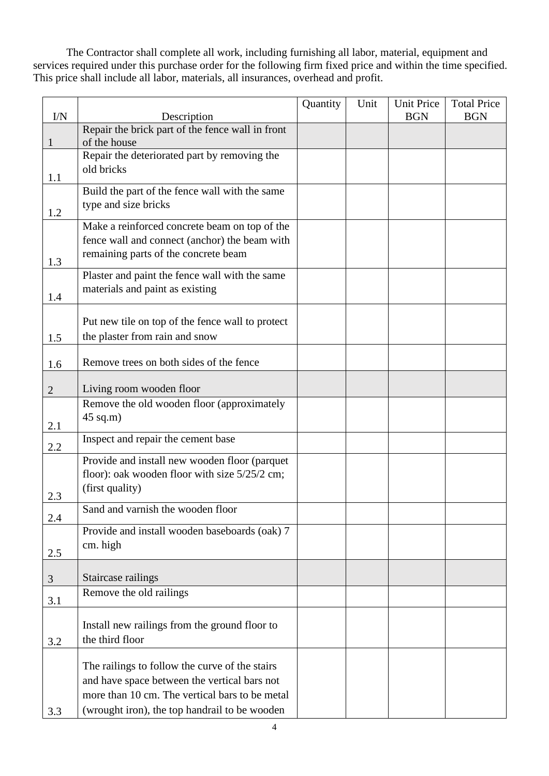The Contractor shall complete all work, including furnishing all labor, material, equipment and services required under this purchase order for the following firm fixed price and within the time specified. This price shall include all labor, materials, all insurances, overhead and profit.

|                |                                                                        | Quantity | Unit | <b>Unit Price</b> | <b>Total Price</b> |
|----------------|------------------------------------------------------------------------|----------|------|-------------------|--------------------|
| I/N            | Description                                                            |          |      | <b>BGN</b>        | <b>BGN</b>         |
| $\mathbf{1}$   | Repair the brick part of the fence wall in front<br>of the house       |          |      |                   |                    |
|                | Repair the deteriorated part by removing the                           |          |      |                   |                    |
|                | old bricks                                                             |          |      |                   |                    |
| 1.1            |                                                                        |          |      |                   |                    |
|                | Build the part of the fence wall with the same<br>type and size bricks |          |      |                   |                    |
| 1.2            |                                                                        |          |      |                   |                    |
|                | Make a reinforced concrete beam on top of the                          |          |      |                   |                    |
|                | fence wall and connect (anchor) the beam with                          |          |      |                   |                    |
| 1.3            | remaining parts of the concrete beam                                   |          |      |                   |                    |
|                | Plaster and paint the fence wall with the same                         |          |      |                   |                    |
| 1.4            | materials and paint as existing                                        |          |      |                   |                    |
|                |                                                                        |          |      |                   |                    |
|                | Put new tile on top of the fence wall to protect                       |          |      |                   |                    |
| 1.5            | the plaster from rain and snow                                         |          |      |                   |                    |
|                |                                                                        |          |      |                   |                    |
| 1.6            | Remove trees on both sides of the fence                                |          |      |                   |                    |
| $\overline{2}$ | Living room wooden floor                                               |          |      |                   |                    |
|                | Remove the old wooden floor (approximately                             |          |      |                   |                    |
| 2.1            | $45$ sq.m)                                                             |          |      |                   |                    |
|                | Inspect and repair the cement base                                     |          |      |                   |                    |
| 2.2            |                                                                        |          |      |                   |                    |
|                | Provide and install new wooden floor (parquet                          |          |      |                   |                    |
|                | floor): oak wooden floor with size 5/25/2 cm;<br>(first quality)       |          |      |                   |                    |
| 2.3            |                                                                        |          |      |                   |                    |
| 2.4            | Sand and varnish the wooden floor                                      |          |      |                   |                    |
|                | Provide and install wooden baseboards (oak) 7                          |          |      |                   |                    |
|                | cm. high                                                               |          |      |                   |                    |
| 2.5            |                                                                        |          |      |                   |                    |
| $\mathfrak{Z}$ | Staircase railings                                                     |          |      |                   |                    |
|                | Remove the old railings                                                |          |      |                   |                    |
| 3.1            |                                                                        |          |      |                   |                    |
|                | Install new railings from the ground floor to                          |          |      |                   |                    |
| 3.2            | the third floor                                                        |          |      |                   |                    |
|                |                                                                        |          |      |                   |                    |
|                | The railings to follow the curve of the stairs                         |          |      |                   |                    |
|                | and have space between the vertical bars not                           |          |      |                   |                    |
|                | more than 10 cm. The vertical bars to be metal                         |          |      |                   |                    |
| 3.3            | (wrought iron), the top handrail to be wooden                          |          |      |                   |                    |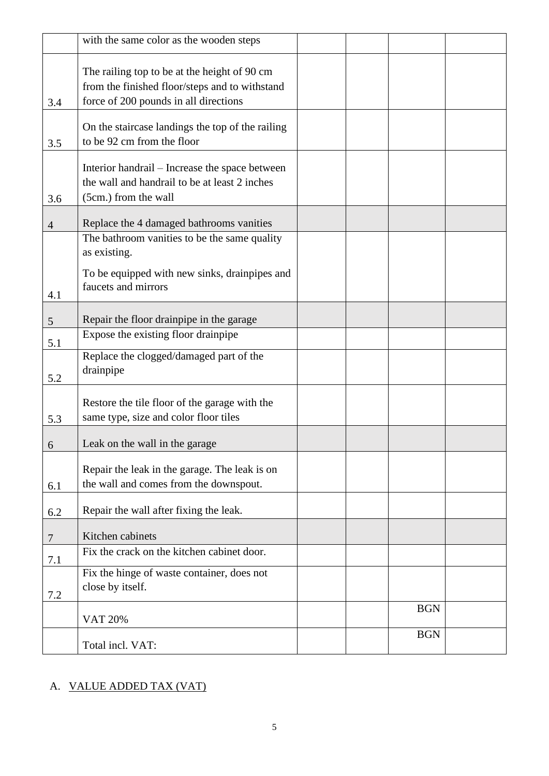|                 | with the same color as the wooden steps                                                                                                 |  |            |  |
|-----------------|-----------------------------------------------------------------------------------------------------------------------------------------|--|------------|--|
| 3.4             | The railing top to be at the height of 90 cm<br>from the finished floor/steps and to withstand<br>force of 200 pounds in all directions |  |            |  |
| 3.5             | On the staircase landings the top of the railing<br>to be 92 cm from the floor                                                          |  |            |  |
| 3.6             | Interior handrail – Increase the space between<br>the wall and handrail to be at least 2 inches<br>(5cm.) from the wall                 |  |            |  |
| $\overline{4}$  | Replace the 4 damaged bathrooms vanities                                                                                                |  |            |  |
|                 | The bathroom vanities to be the same quality<br>as existing.                                                                            |  |            |  |
| 4.1             | To be equipped with new sinks, drainpipes and<br>faucets and mirrors                                                                    |  |            |  |
| $5\overline{)}$ | Repair the floor drainpipe in the garage                                                                                                |  |            |  |
| 5.1             | Expose the existing floor drainpipe                                                                                                     |  |            |  |
| 5.2             | Replace the clogged/damaged part of the<br>drainpipe                                                                                    |  |            |  |
| 5.3             | Restore the tile floor of the garage with the<br>same type, size and color floor tiles                                                  |  |            |  |
| 6               | Leak on the wall in the garage                                                                                                          |  |            |  |
| 6.1             | Repair the leak in the garage. The leak is on<br>the wall and comes from the downspout.                                                 |  |            |  |
| 6.2             | Repair the wall after fixing the leak.                                                                                                  |  |            |  |
| 7               | Kitchen cabinets                                                                                                                        |  |            |  |
| 7.1             | Fix the crack on the kitchen cabinet door.                                                                                              |  |            |  |
| $7.2\,$         | Fix the hinge of waste container, does not<br>close by itself.                                                                          |  |            |  |
|                 | <b>VAT 20%</b>                                                                                                                          |  | <b>BGN</b> |  |
|                 | Total incl. VAT:                                                                                                                        |  | <b>BGN</b> |  |

# A. VALUE ADDED TAX (VAT)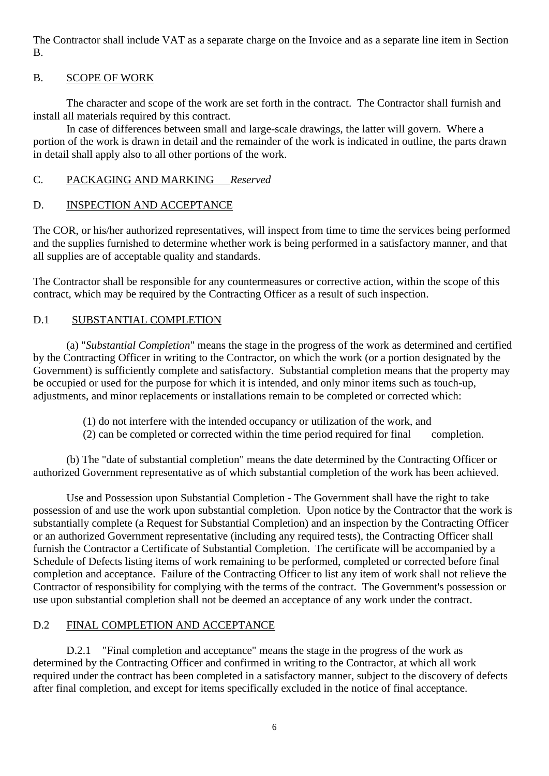The Contractor shall include VAT as a separate charge on the Invoice and as a separate line item in Section B.

## B. SCOPE OF WORK

The character and scope of the work are set forth in the contract. The Contractor shall furnish and install all materials required by this contract.

In case of differences between small and large-scale drawings, the latter will govern. Where a portion of the work is drawn in detail and the remainder of the work is indicated in outline, the parts drawn in detail shall apply also to all other portions of the work.

## C. PACKAGING AND MARKING *Reserved*

# D. INSPECTION AND ACCEPTANCE

The COR, or his/her authorized representatives, will inspect from time to time the services being performed and the supplies furnished to determine whether work is being performed in a satisfactory manner, and that all supplies are of acceptable quality and standards.

The Contractor shall be responsible for any countermeasures or corrective action, within the scope of this contract, which may be required by the Contracting Officer as a result of such inspection.

## D.1 SUBSTANTIAL COMPLETION

(a) "*Substantial Completion*" means the stage in the progress of the work as determined and certified by the Contracting Officer in writing to the Contractor, on which the work (or a portion designated by the Government) is sufficiently complete and satisfactory. Substantial completion means that the property may be occupied or used for the purpose for which it is intended, and only minor items such as touch-up, adjustments, and minor replacements or installations remain to be completed or corrected which:

(1) do not interfere with the intended occupancy or utilization of the work, and

(2) can be completed or corrected within the time period required for final completion.

(b) The "date of substantial completion" means the date determined by the Contracting Officer or authorized Government representative as of which substantial completion of the work has been achieved.

Use and Possession upon Substantial Completion - The Government shall have the right to take possession of and use the work upon substantial completion. Upon notice by the Contractor that the work is substantially complete (a Request for Substantial Completion) and an inspection by the Contracting Officer or an authorized Government representative (including any required tests), the Contracting Officer shall furnish the Contractor a Certificate of Substantial Completion. The certificate will be accompanied by a Schedule of Defects listing items of work remaining to be performed, completed or corrected before final completion and acceptance. Failure of the Contracting Officer to list any item of work shall not relieve the Contractor of responsibility for complying with the terms of the contract. The Government's possession or use upon substantial completion shall not be deemed an acceptance of any work under the contract.

# D.2 FINAL COMPLETION AND ACCEPTANCE

D.2.1 "Final completion and acceptance" means the stage in the progress of the work as determined by the Contracting Officer and confirmed in writing to the Contractor, at which all work required under the contract has been completed in a satisfactory manner, subject to the discovery of defects after final completion, and except for items specifically excluded in the notice of final acceptance.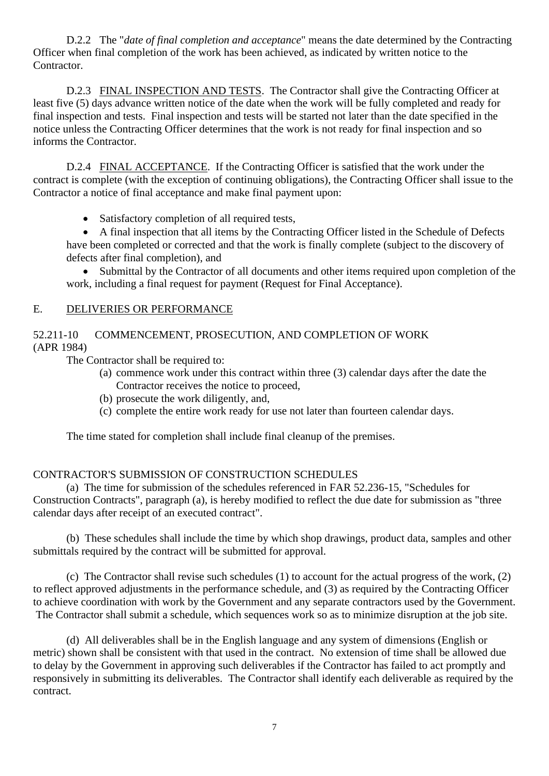D.2.2 The "*date of final completion and acceptance*" means the date determined by the Contracting Officer when final completion of the work has been achieved, as indicated by written notice to the Contractor.

D.2.3 FINAL INSPECTION AND TESTS. The Contractor shall give the Contracting Officer at least five (5) days advance written notice of the date when the work will be fully completed and ready for final inspection and tests. Final inspection and tests will be started not later than the date specified in the notice unless the Contracting Officer determines that the work is not ready for final inspection and so informs the Contractor.

D.2.4 FINAL ACCEPTANCE. If the Contracting Officer is satisfied that the work under the contract is complete (with the exception of continuing obligations), the Contracting Officer shall issue to the Contractor a notice of final acceptance and make final payment upon:

• Satisfactory completion of all required tests,

• A final inspection that all items by the Contracting Officer listed in the Schedule of Defects have been completed or corrected and that the work is finally complete (subject to the discovery of defects after final completion), and

• Submittal by the Contractor of all documents and other items required upon completion of the work, including a final request for payment (Request for Final Acceptance).

#### E. DELIVERIES OR PERFORMANCE

## 52.211-10 COMMENCEMENT, PROSECUTION, AND COMPLETION OF WORK (APR 1984)

The Contractor shall be required to:

- (a) commence work under this contract within three (3) calendar days after the date the Contractor receives the notice to proceed,
- (b) prosecute the work diligently, and,
- (c) complete the entire work ready for use not later than fourteen calendar days.

The time stated for completion shall include final cleanup of the premises.

#### CONTRACTOR'S SUBMISSION OF CONSTRUCTION SCHEDULES

(a) The time for submission of the schedules referenced in FAR 52.236-15, "Schedules for Construction Contracts", paragraph (a), is hereby modified to reflect the due date for submission as "three calendar days after receipt of an executed contract".

(b) These schedules shall include the time by which shop drawings, product data, samples and other submittals required by the contract will be submitted for approval.

(c) The Contractor shall revise such schedules (1) to account for the actual progress of the work, (2) to reflect approved adjustments in the performance schedule, and (3) as required by the Contracting Officer to achieve coordination with work by the Government and any separate contractors used by the Government. The Contractor shall submit a schedule, which sequences work so as to minimize disruption at the job site.

(d) All deliverables shall be in the English language and any system of dimensions (English or metric) shown shall be consistent with that used in the contract. No extension of time shall be allowed due to delay by the Government in approving such deliverables if the Contractor has failed to act promptly and responsively in submitting its deliverables. The Contractor shall identify each deliverable as required by the contract.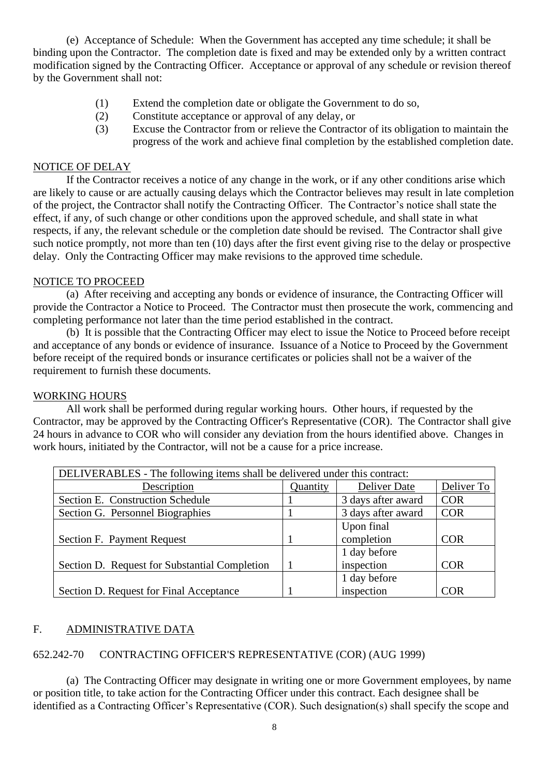(e) Acceptance of Schedule: When the Government has accepted any time schedule; it shall be binding upon the Contractor. The completion date is fixed and may be extended only by a written contract modification signed by the Contracting Officer. Acceptance or approval of any schedule or revision thereof by the Government shall not:

- (1) Extend the completion date or obligate the Government to do so,
- (2) Constitute acceptance or approval of any delay, or
- (3) Excuse the Contractor from or relieve the Contractor of its obligation to maintain the progress of the work and achieve final completion by the established completion date.

## NOTICE OF DELAY

If the Contractor receives a notice of any change in the work, or if any other conditions arise which are likely to cause or are actually causing delays which the Contractor believes may result in late completion of the project, the Contractor shall notify the Contracting Officer. The Contractor's notice shall state the effect, if any, of such change or other conditions upon the approved schedule, and shall state in what respects, if any, the relevant schedule or the completion date should be revised. The Contractor shall give such notice promptly, not more than ten (10) days after the first event giving rise to the delay or prospective delay. Only the Contracting Officer may make revisions to the approved time schedule.

## NOTICE TO PROCEED

(a) After receiving and accepting any bonds or evidence of insurance, the Contracting Officer will provide the Contractor a Notice to Proceed. The Contractor must then prosecute the work, commencing and completing performance not later than the time period established in the contract.

(b) It is possible that the Contracting Officer may elect to issue the Notice to Proceed before receipt and acceptance of any bonds or evidence of insurance. Issuance of a Notice to Proceed by the Government before receipt of the required bonds or insurance certificates or policies shall not be a waiver of the requirement to furnish these documents.

## WORKING HOURS

All work shall be performed during regular working hours. Other hours, if requested by the Contractor, may be approved by the Contracting Officer's Representative (COR). The Contractor shall give 24 hours in advance to COR who will consider any deviation from the hours identified above. Changes in work hours, initiated by the Contractor, will not be a cause for a price increase.

| DELIVERABLES - The following items shall be delivered under this contract: |          |                    |            |  |  |
|----------------------------------------------------------------------------|----------|--------------------|------------|--|--|
| Description                                                                | Quantity | Deliver Date       | Deliver To |  |  |
| Section E. Construction Schedule                                           |          | 3 days after award | <b>COR</b> |  |  |
| Section G. Personnel Biographies                                           |          | 3 days after award | <b>COR</b> |  |  |
|                                                                            |          | Upon final         |            |  |  |
| Section F. Payment Request                                                 |          | completion         | <b>COR</b> |  |  |
|                                                                            |          | 1 day before       |            |  |  |
| Section D. Request for Substantial Completion                              |          | inspection         | <b>COR</b> |  |  |
|                                                                            |          | 1 day before       |            |  |  |
| Section D. Request for Final Acceptance                                    |          | inspection         | <b>COR</b> |  |  |

## F. ADMINISTRATIVE DATA

## 652.242-70 CONTRACTING OFFICER'S REPRESENTATIVE (COR) (AUG 1999)

(a) The Contracting Officer may designate in writing one or more Government employees, by name or position title, to take action for the Contracting Officer under this contract. Each designee shall be identified as a Contracting Officer's Representative (COR). Such designation(s) shall specify the scope and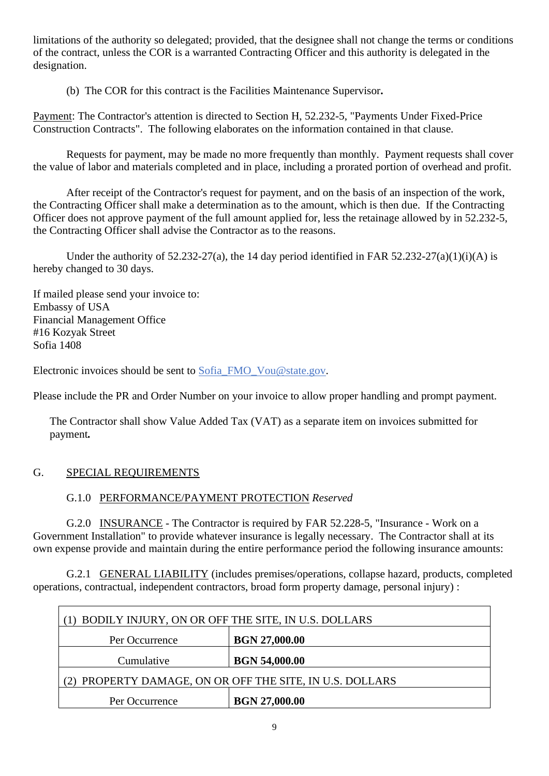limitations of the authority so delegated; provided, that the designee shall not change the terms or conditions of the contract, unless the COR is a warranted Contracting Officer and this authority is delegated in the designation.

(b) The COR for this contract is the Facilities Maintenance Supervisor**.**

Payment: The Contractor's attention is directed to Section H, 52.232-5, "Payments Under Fixed-Price Construction Contracts". The following elaborates on the information contained in that clause.

Requests for payment, may be made no more frequently than monthly. Payment requests shall cover the value of labor and materials completed and in place, including a prorated portion of overhead and profit.

After receipt of the Contractor's request for payment, and on the basis of an inspection of the work, the Contracting Officer shall make a determination as to the amount, which is then due. If the Contracting Officer does not approve payment of the full amount applied for, less the retainage allowed by in 52.232-5, the Contracting Officer shall advise the Contractor as to the reasons.

Under the authority of  $52.232-27(a)$ , the 14 day period identified in FAR  $52.232-27(a)(1)(i)(A)$  is hereby changed to 30 days.

If mailed please send your invoice to: Embassy of USA Financial Management Office #16 Kozyak Street Sofia 1408

Electronic invoices should be sent to [Sofia\\_FMO\\_Vou@state.gov.](mailto:Sofia_FMO_Vou@state.gov)

Please include the PR and Order Number on your invoice to allow proper handling and prompt payment.

The Contractor shall show Value Added Tax (VAT) as a separate item on invoices submitted for payment*.*

## G. SPECIAL REQUIREMENTS

## G.1.0 PERFORMANCE/PAYMENT PROTECTION *Reserved*

G.2.0 INSURANCE - The Contractor is required by FAR 52.228-5, "Insurance - Work on a Government Installation" to provide whatever insurance is legally necessary. The Contractor shall at its own expense provide and maintain during the entire performance period the following insurance amounts:

G.2.1 GENERAL LIABILITY (includes premises/operations, collapse hazard, products, completed operations, contractual, independent contractors, broad form property damage, personal injury) :

| (1) BODILY INJURY, ON OR OFF THE SITE, IN U.S. DOLLARS   |                      |  |  |  |
|----------------------------------------------------------|----------------------|--|--|--|
| <b>BGN 27,000.00</b><br>Per Occurrence                   |                      |  |  |  |
| Cumulative                                               | <b>BGN 54,000.00</b> |  |  |  |
| (2) PROPERTY DAMAGE, ON OR OFF THE SITE, IN U.S. DOLLARS |                      |  |  |  |
| Per Occurrence                                           | <b>BGN 27,000.00</b> |  |  |  |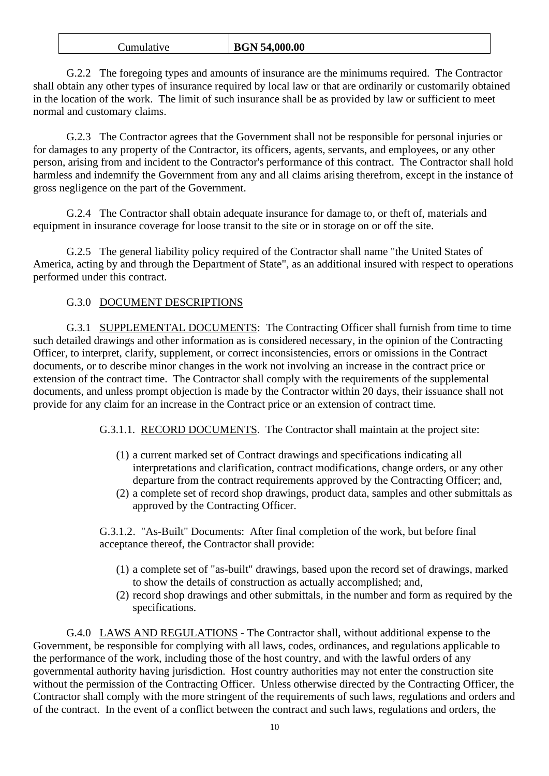G.2.2 The foregoing types and amounts of insurance are the minimums required. The Contractor shall obtain any other types of insurance required by local law or that are ordinarily or customarily obtained in the location of the work. The limit of such insurance shall be as provided by law or sufficient to meet normal and customary claims.

G.2.3 The Contractor agrees that the Government shall not be responsible for personal injuries or for damages to any property of the Contractor, its officers, agents, servants, and employees, or any other person, arising from and incident to the Contractor's performance of this contract. The Contractor shall hold harmless and indemnify the Government from any and all claims arising therefrom, except in the instance of gross negligence on the part of the Government.

G.2.4 The Contractor shall obtain adequate insurance for damage to, or theft of, materials and equipment in insurance coverage for loose transit to the site or in storage on or off the site.

G.2.5 The general liability policy required of the Contractor shall name "the United States of America, acting by and through the Department of State", as an additional insured with respect to operations performed under this contract.

## G.3.0 DOCUMENT DESCRIPTIONS

G.3.1 SUPPLEMENTAL DOCUMENTS: The Contracting Officer shall furnish from time to time such detailed drawings and other information as is considered necessary, in the opinion of the Contracting Officer, to interpret, clarify, supplement, or correct inconsistencies, errors or omissions in the Contract documents, or to describe minor changes in the work not involving an increase in the contract price or extension of the contract time. The Contractor shall comply with the requirements of the supplemental documents, and unless prompt objection is made by the Contractor within 20 days, their issuance shall not provide for any claim for an increase in the Contract price or an extension of contract time.

G.3.1.1. RECORD DOCUMENTS. The Contractor shall maintain at the project site:

- (1) a current marked set of Contract drawings and specifications indicating all interpretations and clarification, contract modifications, change orders, or any other departure from the contract requirements approved by the Contracting Officer; and,
- (2) a complete set of record shop drawings, product data, samples and other submittals as approved by the Contracting Officer.

G.3.1.2. "As-Built" Documents: After final completion of the work, but before final acceptance thereof, the Contractor shall provide:

- (1) a complete set of "as-built" drawings, based upon the record set of drawings, marked to show the details of construction as actually accomplished; and,
- (2) record shop drawings and other submittals, in the number and form as required by the specifications.

G.4.0 LAWS AND REGULATIONS - The Contractor shall, without additional expense to the Government, be responsible for complying with all laws, codes, ordinances, and regulations applicable to the performance of the work, including those of the host country, and with the lawful orders of any governmental authority having jurisdiction. Host country authorities may not enter the construction site without the permission of the Contracting Officer. Unless otherwise directed by the Contracting Officer, the Contractor shall comply with the more stringent of the requirements of such laws, regulations and orders and of the contract. In the event of a conflict between the contract and such laws, regulations and orders, the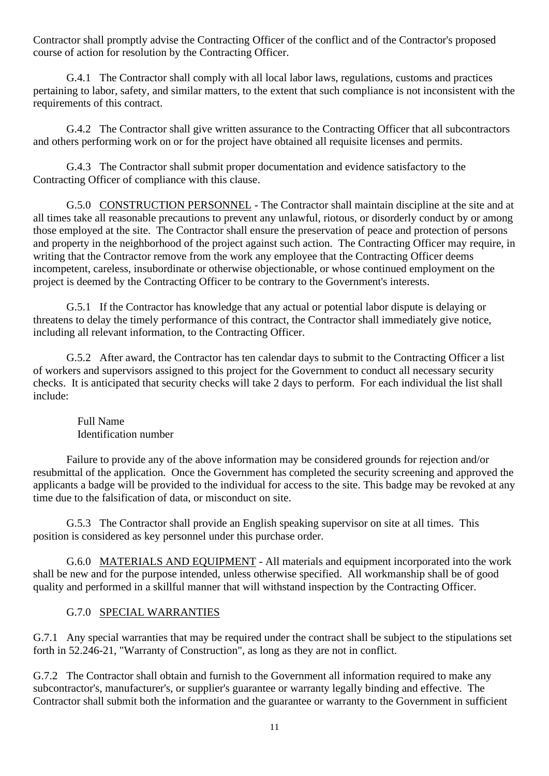Contractor shall promptly advise the Contracting Officer of the conflict and of the Contractor's proposed course of action for resolution by the Contracting Officer.

G.4.1 The Contractor shall comply with all local labor laws, regulations, customs and practices pertaining to labor, safety, and similar matters, to the extent that such compliance is not inconsistent with the requirements of this contract.

G.4.2 The Contractor shall give written assurance to the Contracting Officer that all subcontractors and others performing work on or for the project have obtained all requisite licenses and permits.

G.4.3 The Contractor shall submit proper documentation and evidence satisfactory to the Contracting Officer of compliance with this clause.

G.5.0 CONSTRUCTION PERSONNEL - The Contractor shall maintain discipline at the site and at all times take all reasonable precautions to prevent any unlawful, riotous, or disorderly conduct by or among those employed at the site. The Contractor shall ensure the preservation of peace and protection of persons and property in the neighborhood of the project against such action. The Contracting Officer may require, in writing that the Contractor remove from the work any employee that the Contracting Officer deems incompetent, careless, insubordinate or otherwise objectionable, or whose continued employment on the project is deemed by the Contracting Officer to be contrary to the Government's interests.

G.5.1 If the Contractor has knowledge that any actual or potential labor dispute is delaying or threatens to delay the timely performance of this contract, the Contractor shall immediately give notice, including all relevant information, to the Contracting Officer.

G.5.2 After award, the Contractor has ten calendar days to submit to the Contracting Officer a list of workers and supervisors assigned to this project for the Government to conduct all necessary security checks. It is anticipated that security checks will take 2 days to perform. For each individual the list shall include:

 Full Name Identification number

Failure to provide any of the above information may be considered grounds for rejection and/or resubmittal of the application. Once the Government has completed the security screening and approved the applicants a badge will be provided to the individual for access to the site. This badge may be revoked at any time due to the falsification of data, or misconduct on site.

G.5.3 The Contractor shall provide an English speaking supervisor on site at all times. This position is considered as key personnel under this purchase order.

G.6.0 MATERIALS AND EQUIPMENT - All materials and equipment incorporated into the work shall be new and for the purpose intended, unless otherwise specified. All workmanship shall be of good quality and performed in a skillful manner that will withstand inspection by the Contracting Officer.

## G.7.0 SPECIAL WARRANTIES

G.7.1 Any special warranties that may be required under the contract shall be subject to the stipulations set forth in 52.246-21, "Warranty of Construction", as long as they are not in conflict.

G.7.2 The Contractor shall obtain and furnish to the Government all information required to make any subcontractor's, manufacturer's, or supplier's guarantee or warranty legally binding and effective. The Contractor shall submit both the information and the guarantee or warranty to the Government in sufficient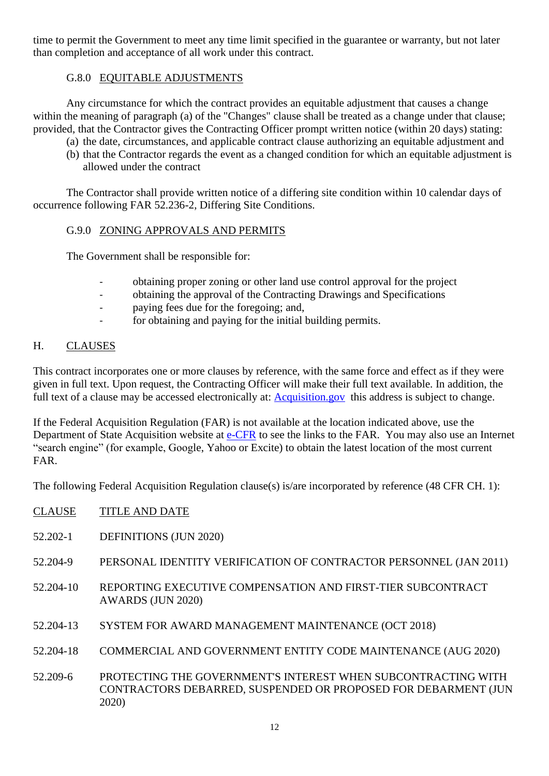time to permit the Government to meet any time limit specified in the guarantee or warranty, but not later than completion and acceptance of all work under this contract.

# G.8.0 EQUITABLE ADJUSTMENTS

Any circumstance for which the contract provides an equitable adjustment that causes a change within the meaning of paragraph (a) of the "Changes" clause shall be treated as a change under that clause; provided, that the Contractor gives the Contracting Officer prompt written notice (within 20 days) stating:

- (a) the date, circumstances, and applicable contract clause authorizing an equitable adjustment and
- (b) that the Contractor regards the event as a changed condition for which an equitable adjustment is allowed under the contract

The Contractor shall provide written notice of a differing site condition within 10 calendar days of occurrence following FAR 52.236-2, Differing Site Conditions.

## G.9.0 ZONING APPROVALS AND PERMITS

The Government shall be responsible for:

- obtaining proper zoning or other land use control approval for the project
- obtaining the approval of the Contracting Drawings and Specifications
- paying fees due for the foregoing; and,
- for obtaining and paying for the initial building permits.

## H. CLAUSES

This contract incorporates one or more clauses by reference, with the same force and effect as if they were given in full text. Upon request, the Contracting Officer will make their full text available. In addition, the full text of a clause may be accessed electronically at: **Acquisition.gov** this address is subject to change.

If the Federal Acquisition Regulation (FAR) is not available at the location indicated above, use the Department of State Acquisition website at [e-CFR](https://gov.ecfr.io/cgi-bin/text-idx?SID=d9a7851186785ba2b1896db79b1b6b29&mc=true&tpl=/ecfrbrowse/Title48/48tab_02.tpl) to see the links to the FAR. You may also use an Internet "search engine" (for example, Google, Yahoo or Excite) to obtain the latest location of the most current FAR.

The following Federal Acquisition Regulation clause(s) is/are incorporated by reference (48 CFR CH. 1):

| <b>TITLE AND DATE</b>                                                                                                                    |
|------------------------------------------------------------------------------------------------------------------------------------------|
| <b>DEFINITIONS (JUN 2020)</b>                                                                                                            |
| PERSONAL IDENTITY VERIFICATION OF CONTRACTOR PERSONNEL (JAN 2011)                                                                        |
| REPORTING EXECUTIVE COMPENSATION AND FIRST-TIER SUBCONTRACT<br>AWARDS (JUN 2020)                                                         |
| SYSTEM FOR AWARD MANAGEMENT MAINTENANCE (OCT 2018)                                                                                       |
| COMMERCIAL AND GOVERNMENT ENTITY CODE MAINTENANCE (AUG 2020)                                                                             |
| PROTECTING THE GOVERNMENT'S INTEREST WHEN SUBCONTRACTING WITH<br>CONTRACTORS DEBARRED, SUSPENDED OR PROPOSED FOR DEBARMENT (JUN<br>2020) |
|                                                                                                                                          |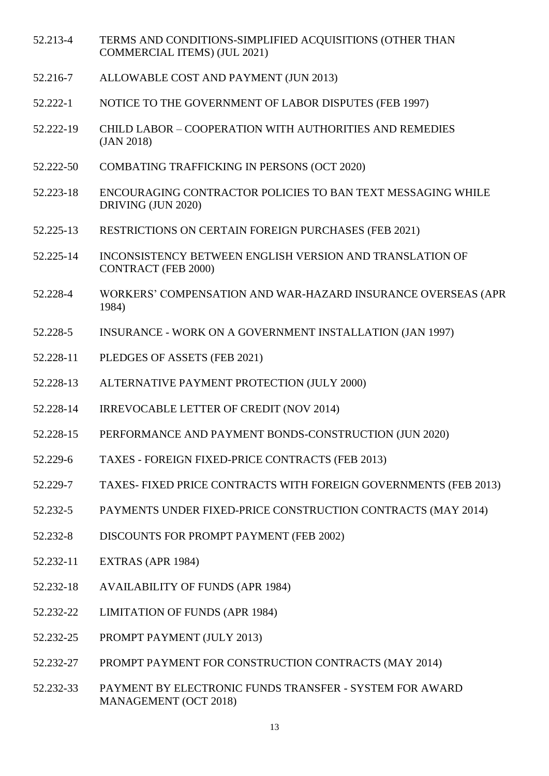- 52.213-4 TERMS AND CONDITIONS-SIMPLIFIED ACQUISITIONS (OTHER THAN COMMERCIAL ITEMS) (JUL 2021)
- 52.216-7 ALLOWABLE COST AND PAYMENT (JUN 2013)
- 52.222-1 NOTICE TO THE GOVERNMENT OF LABOR DISPUTES (FEB 1997)
- 52.222-19 CHILD LABOR COOPERATION WITH AUTHORITIES AND REMEDIES (JAN 2018)
- 52.222-50 COMBATING TRAFFICKING IN PERSONS (OCT 2020)
- 52.223-18 ENCOURAGING CONTRACTOR POLICIES TO BAN TEXT MESSAGING WHILE DRIVING (JUN 2020)
- 52.225-13 RESTRICTIONS ON CERTAIN FOREIGN PURCHASES (FEB 2021)
- 52.225-14 INCONSISTENCY BETWEEN ENGLISH VERSION AND TRANSLATION OF CONTRACT (FEB 2000)
- 52.228-4 WORKERS' COMPENSATION AND WAR-HAZARD INSURANCE OVERSEAS (APR 1984)
- 52.228-5 INSURANCE WORK ON A GOVERNMENT INSTALLATION (JAN 1997)
- 52.228-11 PLEDGES OF ASSETS (FEB 2021)
- 52.228-13 ALTERNATIVE PAYMENT PROTECTION (JULY 2000)
- 52.228-14 IRREVOCABLE LETTER OF CREDIT (NOV 2014)
- 52.228-15 PERFORMANCE AND PAYMENT BONDS-CONSTRUCTION (JUN 2020)
- 52.229-6 TAXES FOREIGN FIXED-PRICE CONTRACTS (FEB 2013)
- 52.229-7 TAXES- FIXED PRICE CONTRACTS WITH FOREIGN GOVERNMENTS (FEB 2013)
- 52.232-5 PAYMENTS UNDER FIXED-PRICE CONSTRUCTION CONTRACTS (MAY 2014)
- 52.232-8 DISCOUNTS FOR PROMPT PAYMENT (FEB 2002)
- 52.232-11 EXTRAS (APR 1984)
- 52.232-18 AVAILABILITY OF FUNDS (APR 1984)
- 52.232-22 LIMITATION OF FUNDS (APR 1984)
- 52.232-25 PROMPT PAYMENT (JULY 2013)
- 52.232-27 PROMPT PAYMENT FOR CONSTRUCTION CONTRACTS (MAY 2014)
- 52.232-33 PAYMENT BY ELECTRONIC FUNDS TRANSFER SYSTEM FOR AWARD MANAGEMENT (OCT 2018)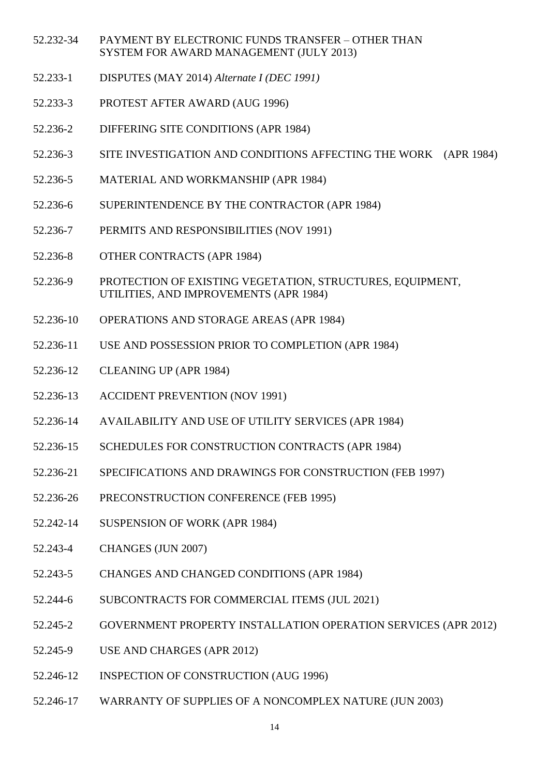- 52.232-34 PAYMENT BY ELECTRONIC FUNDS TRANSFER OTHER THAN SYSTEM FOR AWARD MANAGEMENT (JULY 2013)
- 52.233-1 DISPUTES (MAY 2014) *Alternate I (DEC 1991)*
- 52.233-3 PROTEST AFTER AWARD (AUG 1996)
- 52.236-2 DIFFERING SITE CONDITIONS (APR 1984)
- 52.236-3 SITE INVESTIGATION AND CONDITIONS AFFECTING THE WORK (APR 1984)
- 52.236-5 MATERIAL AND WORKMANSHIP (APR 1984)
- 52.236-6 SUPERINTENDENCE BY THE CONTRACTOR (APR 1984)
- 52.236-7 PERMITS AND RESPONSIBILITIES (NOV 1991)
- 52.236-8 OTHER CONTRACTS (APR 1984)
- 52.236-9 PROTECTION OF EXISTING VEGETATION, STRUCTURES, EQUIPMENT, UTILITIES, AND IMPROVEMENTS (APR 1984)
- 52.236-10 OPERATIONS AND STORAGE AREAS (APR 1984)
- 52.236-11 USE AND POSSESSION PRIOR TO COMPLETION (APR 1984)
- 52.236-12 CLEANING UP (APR 1984)
- 52.236-13 ACCIDENT PREVENTION (NOV 1991)
- 52.236-14 AVAILABILITY AND USE OF UTILITY SERVICES (APR 1984)
- 52.236-15 SCHEDULES FOR CONSTRUCTION CONTRACTS (APR 1984)
- 52.236-21 SPECIFICATIONS AND DRAWINGS FOR CONSTRUCTION (FEB 1997)
- 52.236-26 PRECONSTRUCTION CONFERENCE (FEB 1995)
- 52.242-14 SUSPENSION OF WORK (APR 1984)
- 52.243-4 CHANGES (JUN 2007)
- 52.243-5 CHANGES AND CHANGED CONDITIONS (APR 1984)
- 52.244-6 SUBCONTRACTS FOR COMMERCIAL ITEMS (JUL 2021)
- 52.245-2 GOVERNMENT PROPERTY INSTALLATION OPERATION SERVICES (APR 2012)
- 52.245-9 USE AND CHARGES (APR 2012)
- 52.246-12 INSPECTION OF CONSTRUCTION (AUG 1996)
- 52.246-17 WARRANTY OF SUPPLIES OF A NONCOMPLEX NATURE (JUN 2003)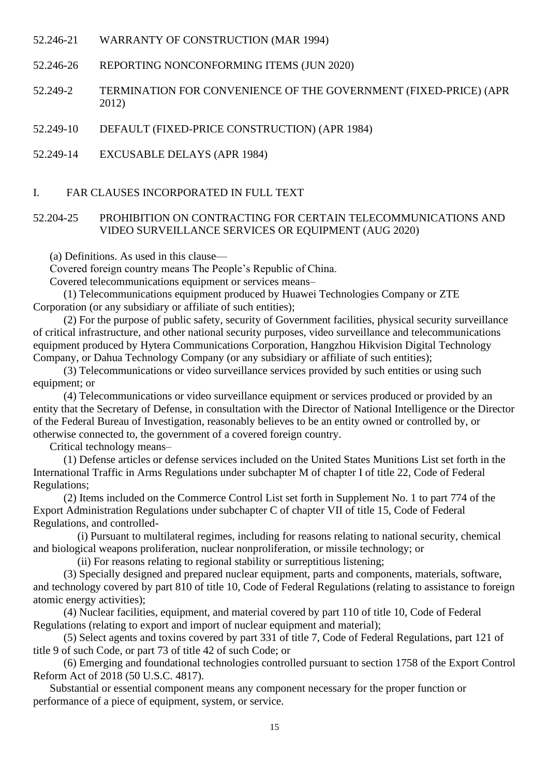- 52.246-21 WARRANTY OF CONSTRUCTION (MAR 1994)
- 52.246-26 REPORTING NONCONFORMING ITEMS (JUN 2020)
- 52.249-2 TERMINATION FOR CONVENIENCE OF THE GOVERNMENT (FIXED-PRICE) (APR 2012)
- 52.249-10 DEFAULT (FIXED-PRICE CONSTRUCTION) (APR 1984)
- 52.249-14 EXCUSABLE DELAYS (APR 1984)

#### I. FAR CLAUSES INCORPORATED IN FULL TEXT

#### 52.204-25 PROHIBITION ON CONTRACTING FOR CERTAIN TELECOMMUNICATIONS AND VIDEO SURVEILLANCE SERVICES OR EQUIPMENT (AUG 2020)

(a) Definitions. As used in this clause—

Covered foreign country means The People's Republic of China.

Covered telecommunications equipment or services means–

 (1) Telecommunications equipment produced by Huawei Technologies Company or ZTE Corporation (or any subsidiary or affiliate of such entities);

 (2) For the purpose of public safety, security of Government facilities, physical security surveillance of critical infrastructure, and other national security purposes, video surveillance and telecommunications equipment produced by Hytera Communications Corporation, Hangzhou Hikvision Digital Technology Company, or Dahua Technology Company (or any subsidiary or affiliate of such entities);

 (3) Telecommunications or video surveillance services provided by such entities or using such equipment; or

 (4) Telecommunications or video surveillance equipment or services produced or provided by an entity that the Secretary of Defense, in consultation with the Director of National Intelligence or the Director of the Federal Bureau of Investigation, reasonably believes to be an entity owned or controlled by, or otherwise connected to, the government of a covered foreign country.

Critical technology means–

 (1) Defense articles or defense services included on the United States Munitions List set forth in the International Traffic in Arms Regulations under subchapter M of chapter I of title 22, Code of Federal Regulations;

 (2) Items included on the Commerce Control List set forth in Supplement No. 1 to part 774 of the Export Administration Regulations under subchapter C of chapter VII of title 15, Code of Federal Regulations, and controlled-

 (i) Pursuant to multilateral regimes, including for reasons relating to national security, chemical and biological weapons proliferation, nuclear nonproliferation, or missile technology; or

(ii) For reasons relating to regional stability or surreptitious listening;

 (3) Specially designed and prepared nuclear equipment, parts and components, materials, software, and technology covered by part 810 of title 10, Code of Federal Regulations (relating to assistance to foreign atomic energy activities);

 (4) Nuclear facilities, equipment, and material covered by part 110 of title 10, Code of Federal Regulations (relating to export and import of nuclear equipment and material);

 (5) Select agents and toxins covered by part 331 of title 7, Code of Federal Regulations, part 121 of title 9 of such Code, or part 73 of title 42 of such Code; or

 (6) Emerging and foundational technologies controlled pursuant to section 1758 of the Export Control Reform Act of 2018 (50 U.S.C. 4817).

 Substantial or essential component means any component necessary for the proper function or performance of a piece of equipment, system, or service.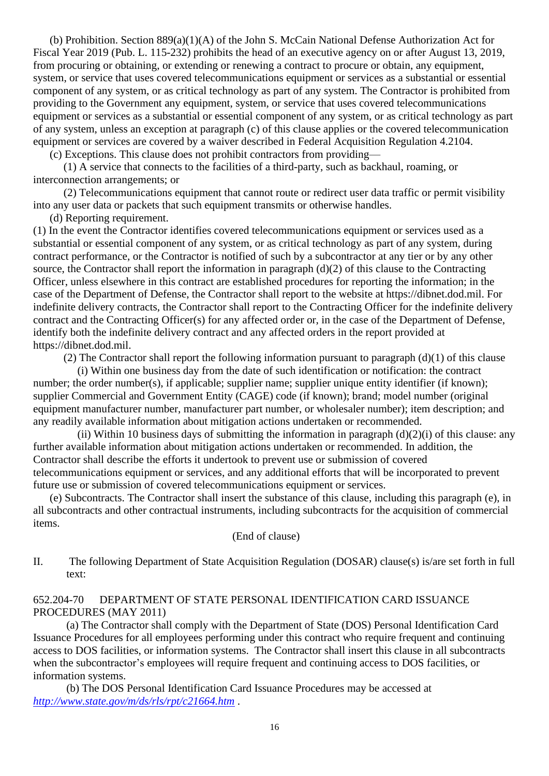(b) Prohibition. Section 889(a)(1)(A) of the John S. McCain National Defense Authorization Act for Fiscal Year 2019 (Pub. L. 115-232) prohibits the head of an executive agency on or after August 13, 2019, from procuring or obtaining, or extending or renewing a contract to procure or obtain, any equipment, system, or service that uses covered telecommunications equipment or services as a substantial or essential component of any system, or as critical technology as part of any system. The Contractor is prohibited from providing to the Government any equipment, system, or service that uses covered telecommunications equipment or services as a substantial or essential component of any system, or as critical technology as part of any system, unless an exception at paragraph (c) of this clause applies or the covered telecommunication equipment or services are covered by a waiver described in Federal Acquisition Regulation 4.2104.

(c) Exceptions. This clause does not prohibit contractors from providing—

 (1) A service that connects to the facilities of a third-party, such as backhaul, roaming, or interconnection arrangements; or

 (2) Telecommunications equipment that cannot route or redirect user data traffic or permit visibility into any user data or packets that such equipment transmits or otherwise handles.

(d) Reporting requirement.

(1) In the event the Contractor identifies covered telecommunications equipment or services used as a substantial or essential component of any system, or as critical technology as part of any system, during contract performance, or the Contractor is notified of such by a subcontractor at any tier or by any other source, the Contractor shall report the information in paragraph (d)(2) of this clause to the Contracting Officer, unless elsewhere in this contract are established procedures for reporting the information; in the case of the Department of Defense, the Contractor shall report to the website at https://dibnet.dod.mil. For indefinite delivery contracts, the Contractor shall report to the Contracting Officer for the indefinite delivery contract and the Contracting Officer(s) for any affected order or, in the case of the Department of Defense, identify both the indefinite delivery contract and any affected orders in the report provided at https://dibnet.dod.mil.

(2) The Contractor shall report the following information pursuant to paragraph  $(d)(1)$  of this clause

 (i) Within one business day from the date of such identification or notification: the contract number; the order number(s), if applicable; supplier name; supplier unique entity identifier (if known); supplier Commercial and Government Entity (CAGE) code (if known); brand; model number (original equipment manufacturer number, manufacturer part number, or wholesaler number); item description; and any readily available information about mitigation actions undertaken or recommended.

(ii) Within 10 business days of submitting the information in paragraph  $(d)(2)(i)$  of this clause: any further available information about mitigation actions undertaken or recommended. In addition, the Contractor shall describe the efforts it undertook to prevent use or submission of covered telecommunications equipment or services, and any additional efforts that will be incorporated to prevent future use or submission of covered telecommunications equipment or services.

 (e) Subcontracts. The Contractor shall insert the substance of this clause, including this paragraph (e), in all subcontracts and other contractual instruments, including subcontracts for the acquisition of commercial items.

#### (End of clause)

II. The following Department of State Acquisition Regulation (DOSAR) clause(s) is/are set forth in full text:

#### 652.204-70 DEPARTMENT OF STATE PERSONAL IDENTIFICATION CARD ISSUANCE PROCEDURES (MAY 2011)

(a) The Contractor shall comply with the Department of State (DOS) Personal Identification Card Issuance Procedures for all employees performing under this contract who require frequent and continuing access to DOS facilities, or information systems. The Contractor shall insert this clause in all subcontracts when the subcontractor's employees will require frequent and continuing access to DOS facilities, or information systems.

(b) The DOS Personal Identification Card Issuance Procedures may be accessed at *<http://www.state.gov/m/ds/rls/rpt/c21664.htm>* .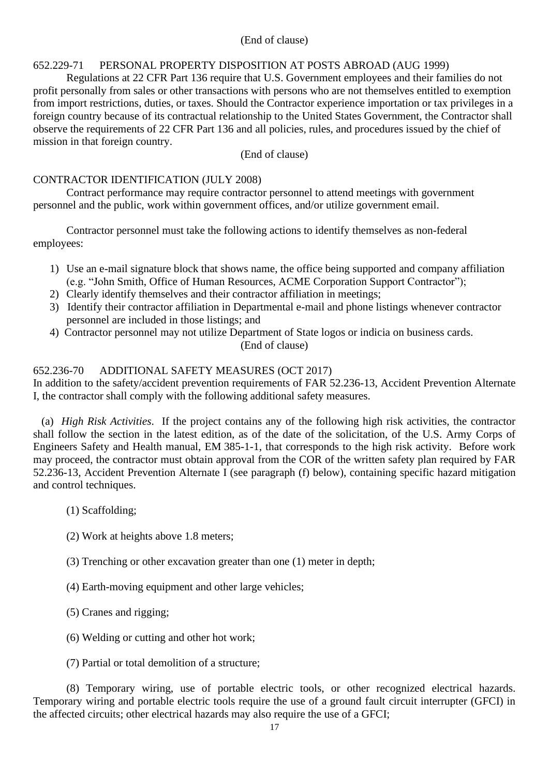#### (End of clause)

## 652.229-71 PERSONAL PROPERTY DISPOSITION AT POSTS ABROAD (AUG 1999)

Regulations at 22 CFR Part 136 require that U.S. Government employees and their families do not profit personally from sales or other transactions with persons who are not themselves entitled to exemption from import restrictions, duties, or taxes. Should the Contractor experience importation or tax privileges in a foreign country because of its contractual relationship to the United States Government, the Contractor shall observe the requirements of 22 CFR Part 136 and all policies, rules, and procedures issued by the chief of mission in that foreign country.

#### (End of clause)

#### CONTRACTOR IDENTIFICATION (JULY 2008)

Contract performance may require contractor personnel to attend meetings with government personnel and the public, work within government offices, and/or utilize government email.

Contractor personnel must take the following actions to identify themselves as non-federal employees:

- 1) Use an e-mail signature block that shows name, the office being supported and company affiliation (e.g. "John Smith, Office of Human Resources, ACME Corporation Support Contractor");
- 2) Clearly identify themselves and their contractor affiliation in meetings;
- 3) Identify their contractor affiliation in Departmental e-mail and phone listings whenever contractor personnel are included in those listings; and
- 4) Contractor personnel may not utilize Department of State logos or indicia on business cards.

(End of clause)

## 652.236-70 ADDITIONAL SAFETY MEASURES (OCT 2017)

In addition to the safety/accident prevention requirements of FAR 52.236-13, Accident Prevention Alternate I, the contractor shall comply with the following additional safety measures.

 (a) *High Risk Activities*. If the project contains any of the following high risk activities, the contractor shall follow the section in the latest edition, as of the date of the solicitation, of the U.S. Army Corps of Engineers Safety and Health manual, EM 385-1-1, that corresponds to the high risk activity. Before work may proceed, the contractor must obtain approval from the COR of the written safety plan required by FAR 52.236-13, Accident Prevention Alternate I (see paragraph (f) below), containing specific hazard mitigation and control techniques.

- (1) Scaffolding;
- (2) Work at heights above 1.8 meters;
- (3) Trenching or other excavation greater than one (1) meter in depth;
- (4) Earth-moving equipment and other large vehicles;
- (5) Cranes and rigging;
- (6) Welding or cutting and other hot work;
- (7) Partial or total demolition of a structure;

(8) Temporary wiring, use of portable electric tools, or other recognized electrical hazards. Temporary wiring and portable electric tools require the use of a ground fault circuit interrupter (GFCI) in the affected circuits; other electrical hazards may also require the use of a GFCI;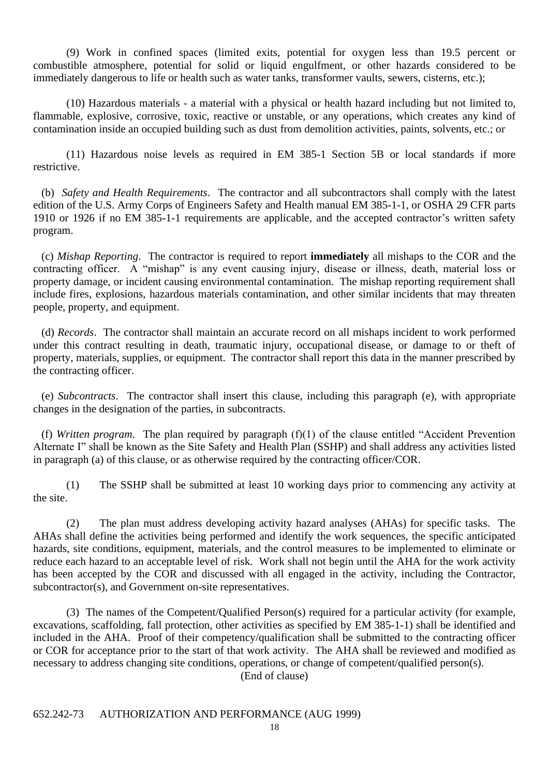(9) Work in confined spaces (limited exits, potential for oxygen less than 19.5 percent or combustible atmosphere, potential for solid or liquid engulfment, or other hazards considered to be immediately dangerous to life or health such as water tanks, transformer vaults, sewers, cisterns, etc.);

(10) Hazardous materials - a material with a physical or health hazard including but not limited to, flammable, explosive, corrosive, toxic, reactive or unstable, or any operations, which creates any kind of contamination inside an occupied building such as dust from demolition activities, paints, solvents, etc.; or

(11) Hazardous noise levels as required in EM 385-1 Section 5B or local standards if more restrictive.

 (b) *Safety and Health Requirements*. The contractor and all subcontractors shall comply with the latest edition of the U.S. Army Corps of Engineers Safety and Health manual EM 385-1-1, or OSHA 29 CFR parts 1910 or 1926 if no EM 385-1-1 requirements are applicable, and the accepted contractor's written safety program.

 (c) *Mishap Reporting*. The contractor is required to report **immediately** all mishaps to the COR and the contracting officer. A "mishap" is any event causing injury, disease or illness, death, material loss or property damage, or incident causing environmental contamination. The mishap reporting requirement shall include fires, explosions, hazardous materials contamination, and other similar incidents that may threaten people, property, and equipment.

 (d) *Records*. The contractor shall maintain an accurate record on all mishaps incident to work performed under this contract resulting in death, traumatic injury, occupational disease, or damage to or theft of property, materials, supplies, or equipment. The contractor shall report this data in the manner prescribed by the contracting officer.

 (e) *Subcontracts*. The contractor shall insert this clause, including this paragraph (e), with appropriate changes in the designation of the parties, in subcontracts.

 (f) *Written program*. The plan required by paragraph (f)(1) of the clause entitled "Accident Prevention Alternate I" shall be known as the Site Safety and Health Plan (SSHP) and shall address any activities listed in paragraph (a) of this clause, or as otherwise required by the contracting officer/COR.

(1) The SSHP shall be submitted at least 10 working days prior to commencing any activity at the site.

(2) The plan must address developing activity hazard analyses (AHAs) for specific tasks. The AHAs shall define the activities being performed and identify the work sequences, the specific anticipated hazards, site conditions, equipment, materials, and the control measures to be implemented to eliminate or reduce each hazard to an acceptable level of risk. Work shall not begin until the AHA for the work activity has been accepted by the COR and discussed with all engaged in the activity, including the Contractor, subcontractor(s), and Government on-site representatives.

(3) The names of the Competent/Qualified Person(s) required for a particular activity (for example, excavations, scaffolding, fall protection, other activities as specified by EM 385-1-1) shall be identified and included in the AHA. Proof of their competency/qualification shall be submitted to the contracting officer or COR for acceptance prior to the start of that work activity. The AHA shall be reviewed and modified as necessary to address changing site conditions, operations, or change of competent/qualified person(s). (End of clause)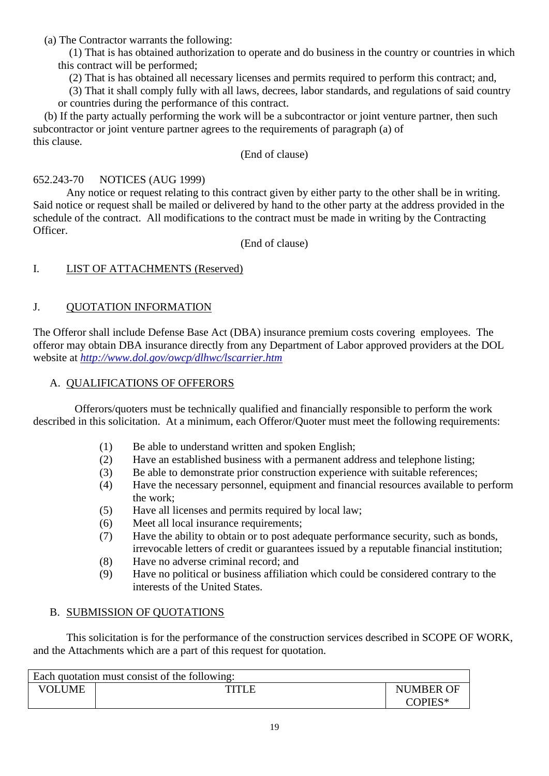(a) The Contractor warrants the following:

 (1) That is has obtained authorization to operate and do business in the country or countries in which this contract will be performed;

(2) That is has obtained all necessary licenses and permits required to perform this contract; and,

 (3) That it shall comply fully with all laws, decrees, labor standards, and regulations of said country or countries during the performance of this contract.

 (b) If the party actually performing the work will be a subcontractor or joint venture partner, then such subcontractor or joint venture partner agrees to the requirements of paragraph (a) of this clause.

#### (End of clause)

#### 652.243-70 NOTICES (AUG 1999)

Any notice or request relating to this contract given by either party to the other shall be in writing. Said notice or request shall be mailed or delivered by hand to the other party at the address provided in the schedule of the contract. All modifications to the contract must be made in writing by the Contracting Officer.

(End of clause)

## I. LIST OF ATTACHMENTS (Reserved)

## J. QUOTATION INFORMATION

The Offeror shall include Defense Base Act (DBA) insurance premium costs covering employees. The offeror may obtain DBA insurance directly from any Department of Labor approved providers at the DOL website at *<http://www.dol.gov/owcp/dlhwc/lscarrier.htm>*

## A. QUALIFICATIONS OF OFFERORS

Offerors/quoters must be technically qualified and financially responsible to perform the work described in this solicitation. At a minimum, each Offeror/Quoter must meet the following requirements:

- (1) Be able to understand written and spoken English;
- (2) Have an established business with a permanent address and telephone listing;
- (3) Be able to demonstrate prior construction experience with suitable references;
- (4) Have the necessary personnel, equipment and financial resources available to perform the work;
- (5) Have all licenses and permits required by local law;
- (6) Meet all local insurance requirements;
- (7) Have the ability to obtain or to post adequate performance security, such as bonds, irrevocable letters of credit or guarantees issued by a reputable financial institution;
- (8) Have no adverse criminal record; and
- (9) Have no political or business affiliation which could be considered contrary to the interests of the United States.

## B. SUBMISSION OF QUOTATIONS

This solicitation is for the performance of the construction services described in SCOPE OF WORK, and the Attachments which are a part of this request for quotation.

| Each quotation must consist of the following: |        |                  |  |  |
|-----------------------------------------------|--------|------------------|--|--|
| <b>VOLUME</b>                                 | TITI F | <b>NUMBER OF</b> |  |  |
|                                               |        | COPIES*          |  |  |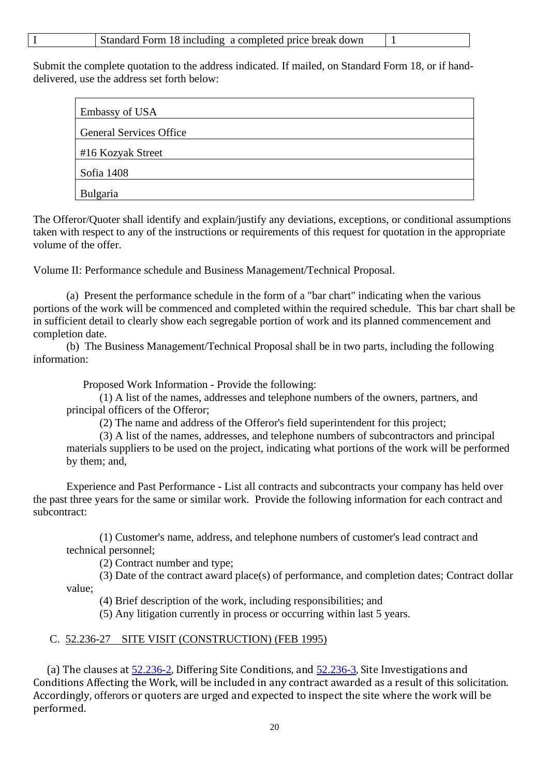|  | Standard Form 18 including a completed price break down |  |  |
|--|---------------------------------------------------------|--|--|
|--|---------------------------------------------------------|--|--|

Submit the complete quotation to the address indicated. If mailed, on Standard Form 18, or if handdelivered, use the address set forth below:

| <b>Embassy of USA</b>          |
|--------------------------------|
| <b>General Services Office</b> |
| #16 Kozyak Street              |
| Sofia 1408                     |
| Bulgaria                       |

The Offeror/Quoter shall identify and explain/justify any deviations, exceptions, or conditional assumptions taken with respect to any of the instructions or requirements of this request for quotation in the appropriate volume of the offer.

Volume II: Performance schedule and Business Management/Technical Proposal.

(a) Present the performance schedule in the form of a "bar chart" indicating when the various portions of the work will be commenced and completed within the required schedule. This bar chart shall be in sufficient detail to clearly show each segregable portion of work and its planned commencement and completion date.

(b) The Business Management/Technical Proposal shall be in two parts, including the following information:

Proposed Work Information - Provide the following:

(1) A list of the names, addresses and telephone numbers of the owners, partners, and principal officers of the Offeror;

(2) The name and address of the Offeror's field superintendent for this project;

(3) A list of the names, addresses, and telephone numbers of subcontractors and principal materials suppliers to be used on the project, indicating what portions of the work will be performed by them; and,

Experience and Past Performance - List all contracts and subcontracts your company has held over the past three years for the same or similar work. Provide the following information for each contract and subcontract:

(1) Customer's name, address, and telephone numbers of customer's lead contract and technical personnel;

(2) Contract number and type;

(3) Date of the contract award place(s) of performance, and completion dates; Contract dollar value;

(4) Brief description of the work, including responsibilities; and

(5) Any litigation currently in process or occurring within last 5 years.

## C. 52.236-27 SITE VISIT (CONSTRUCTION) (FEB 1995)

(a) The clauses at [52.236-2](https://www.acquisition.gov/far/52.236-2#FAR_52_236_2), Differing Site Conditions, and [52.236-3](https://www.acquisition.gov/far/52.236-3#FAR_52_236_3), Site Investigations and Conditions Affecting the Work, will be included in any contract awarded as a result of this solicitation. Accordingly, offerors or quoters are urged and expected to inspect the site where the work will be performed.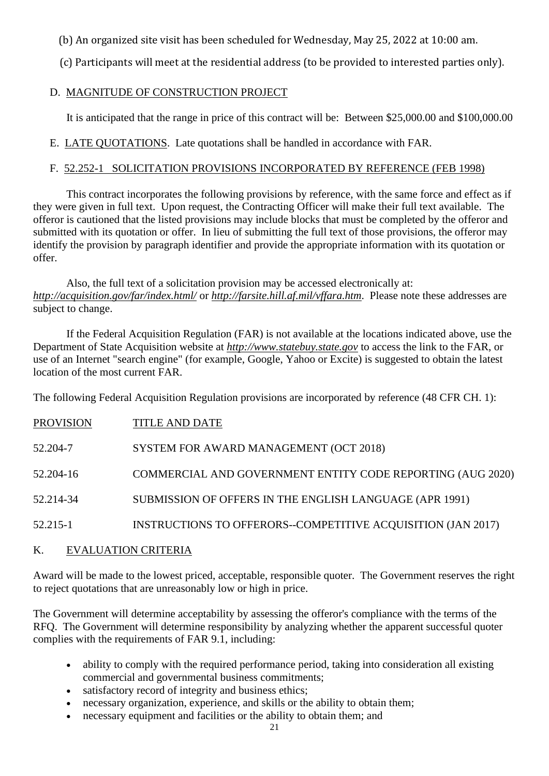(b) An organized site visit has been scheduled for Wednesday, May 25, 2022 at 10:00 am.

(c) Participants will meet at the residential address (to be provided to interested parties only).

# D. MAGNITUDE OF CONSTRUCTION PROJECT

It is anticipated that the range in price of this contract will be: Between \$25,000.00 and \$100,000.00

E. LATE QUOTATIONS. Late quotations shall be handled in accordance with FAR.

# F. 52.252-1 SOLICITATION PROVISIONS INCORPORATED BY REFERENCE (FEB 1998)

This contract incorporates the following provisions by reference, with the same force and effect as if they were given in full text. Upon request, the Contracting Officer will make their full text available. The offeror is cautioned that the listed provisions may include blocks that must be completed by the offeror and submitted with its quotation or offer. In lieu of submitting the full text of those provisions, the offeror may identify the provision by paragraph identifier and provide the appropriate information with its quotation or offer.

Also, the full text of a solicitation provision may be accessed electronically at: *<http://acquisition.gov/far/index.html/>* or *<http://farsite.hill.af.mil/vffara.htm>*. Please note these addresses are subject to change.

If the Federal Acquisition Regulation (FAR) is not available at the locations indicated above, use the Department of State Acquisition website at *[http://www.statebuy.state.gov](http://www.statebuy.state.gov/)* to access the link to the FAR, or use of an Internet "search engine" (for example, Google, Yahoo or Excite) is suggested to obtain the latest location of the most current FAR.

The following Federal Acquisition Regulation provisions are incorporated by reference (48 CFR CH. 1):

| <b>PROVISION</b> | <b>TITLE AND DATE</b>                                        |
|------------------|--------------------------------------------------------------|
| 52.204-7         | SYSTEM FOR AWARD MANAGEMENT (OCT 2018)                       |
| 52.204-16        | COMMERCIAL AND GOVERNMENT ENTITY CODE REPORTING (AUG 2020)   |
| 52.214-34        | SUBMISSION OF OFFERS IN THE ENGLISH LANGUAGE (APR 1991)      |
| 52.215-1         | INSTRUCTIONS TO OFFERORS--COMPETITIVE ACQUISITION (JAN 2017) |

# K. EVALUATION CRITERIA

Award will be made to the lowest priced, acceptable, responsible quoter. The Government reserves the right to reject quotations that are unreasonably low or high in price.

The Government will determine acceptability by assessing the offeror's compliance with the terms of the RFQ. The Government will determine responsibility by analyzing whether the apparent successful quoter complies with the requirements of FAR 9.1, including:

- ability to comply with the required performance period, taking into consideration all existing commercial and governmental business commitments;
- satisfactory record of integrity and business ethics;
- necessary organization, experience, and skills or the ability to obtain them;
- necessary equipment and facilities or the ability to obtain them; and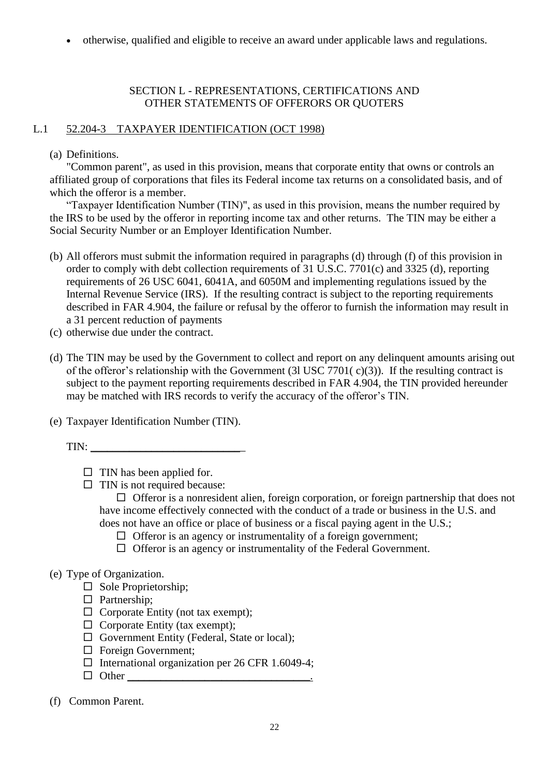• otherwise, qualified and eligible to receive an award under applicable laws and regulations.

## SECTION L - REPRESENTATIONS, CERTIFICATIONS AND OTHER STATEMENTS OF OFFERORS OR QUOTERS

## L.1 52.204-3 TAXPAYER IDENTIFICATION (OCT 1998)

(a) Definitions.

"Common parent", as used in this provision, means that corporate entity that owns or controls an affiliated group of corporations that files its Federal income tax returns on a consolidated basis, and of which the offeror is a member.

"Taxpayer Identification Number (TIN)", as used in this provision, means the number required by the IRS to be used by the offeror in reporting income tax and other returns. The TIN may be either a Social Security Number or an Employer Identification Number.

- (b) All offerors must submit the information required in paragraphs (d) through (f) of this provision in order to comply with debt collection requirements of 31 U.S.C. 7701(c) and 3325 (d), reporting requirements of 26 USC 6041, 6041A, and 6050M and implementing regulations issued by the Internal Revenue Service (IRS). If the resulting contract is subject to the reporting requirements described in FAR 4.904, the failure or refusal by the offeror to furnish the information may result in a 31 percent reduction of payments
- (c) otherwise due under the contract.
- (d) The TIN may be used by the Government to collect and report on any delinquent amounts arising out of the offeror's relationship with the Government (3l USC 7701( c)(3)). If the resulting contract is subject to the payment reporting requirements described in FAR 4.904, the TIN provided hereunder may be matched with IRS records to verify the accuracy of the offeror's TIN.
- (e) Taxpayer Identification Number (TIN).

TIN: \_\_\_\_\_\_\_\_\_\_\_\_\_\_\_\_\_\_\_\_\_\_\_\_\_\_\_\_

- $\Box$  TIN has been applied for.
- $\square$  TIN is not required because:

 $\Box$  Offeror is a nonresident alien, foreign corporation, or foreign partnership that does not have income effectively connected with the conduct of a trade or business in the U.S. and does not have an office or place of business or a fiscal paying agent in the U.S.;

- $\Box$  Offeror is an agency or instrumentality of a foreign government;
- $\Box$  Offeror is an agency or instrumentality of the Federal Government.
- (e) Type of Organization.
	- $\Box$  Sole Proprietorship;
	- □ Partnership;
	- $\Box$  Corporate Entity (not tax exempt):
	- $\Box$  Corporate Entity (tax exempt);
	- □ Government Entity (Federal, State or local);
	- $\Box$  Foreign Government;
	- $\Box$  International organization per 26 CFR 1.6049-4;
	- Other \_\_\_\_\_\_\_\_\_\_\_\_\_\_\_\_\_\_\_\_\_\_\_\_\_\_\_\_\_\_\_\_\_.
- (f) Common Parent.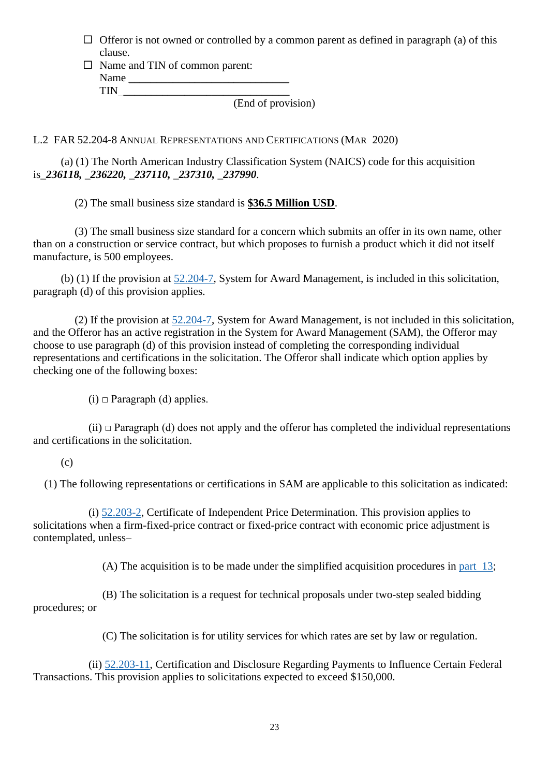- $\Box$  Offeror is not owned or controlled by a common parent as defined in paragraph (a) of this clause.
- $\Box$  Name and TIN of common parent: Name \_\_\_\_\_\_\_\_\_\_\_\_\_\_\_\_\_\_\_\_\_\_\_\_\_\_\_\_\_ TIN

(End of provision)

L.2 FAR 52.204-8 ANNUAL REPRESENTATIONS AND CERTIFICATIONS (MAR 2020)

 (a) (1) The North American Industry Classification System (NAICS) code for this acquisition is*\_236118,* \_*236220,* \_*237110,* \_*237310,* \_*237990*.

(2) The small business size standard is **\$36.5 Million USD**.

 (3) The small business size standard for a concern which submits an offer in its own name, other than on a construction or service contract, but which proposes to furnish a product which it did not itself manufacture, is 500 employees.

 (b) (1) If the provision at [52.204-7,](https://www.acquisition.gov/content/52204-7-system-award-management#i1063838) System for Award Management, is included in this solicitation, paragraph (d) of this provision applies.

 (2) If the provision at [52.204-7,](https://www.acquisition.gov/content/52204-7-system-award-management#i1063838) System for Award Management, is not included in this solicitation, and the Offeror has an active registration in the System for Award Management (SAM), the Offeror may choose to use paragraph (d) of this provision instead of completing the corresponding individual representations and certifications in the solicitation. The Offeror shall indicate which option applies by checking one of the following boxes:

 $(i)$   $\Box$  Paragraph (d) applies.

 $(ii)$   $\Box$  Paragraph (d) does not apply and the offeror has completed the individual representations and certifications in the solicitation.

## (c)

(1) The following representations or certifications in SAM are applicable to this solicitation as indicated:

 (i) [52.203-2,](https://www.acquisition.gov/content/52203-2-certificate-independent-price-determination#i1063268) Certificate of Independent Price Determination. This provision applies to solicitations when a firm-fixed-price contract or fixed-price contract with economic price adjustment is contemplated, unless–

(A) The acquisition is to be made under the simplified acquisition procedures in [part](https://www.acquisition.gov/content/part-13-simplified-acquisition-procedures#i1112458) 13;

 (B) The solicitation is a request for technical proposals under two-step sealed bidding procedures; or

(C) The solicitation is for utility services for which rates are set by law or regulation.

 (ii) [52.203-11,](https://www.acquisition.gov/content/52203-11-certification-and-disclosure-regarding-payments-influence-certain-federal-transactions#i1063408) Certification and Disclosure Regarding Payments to Influence Certain Federal Transactions. This provision applies to solicitations expected to exceed \$150,000.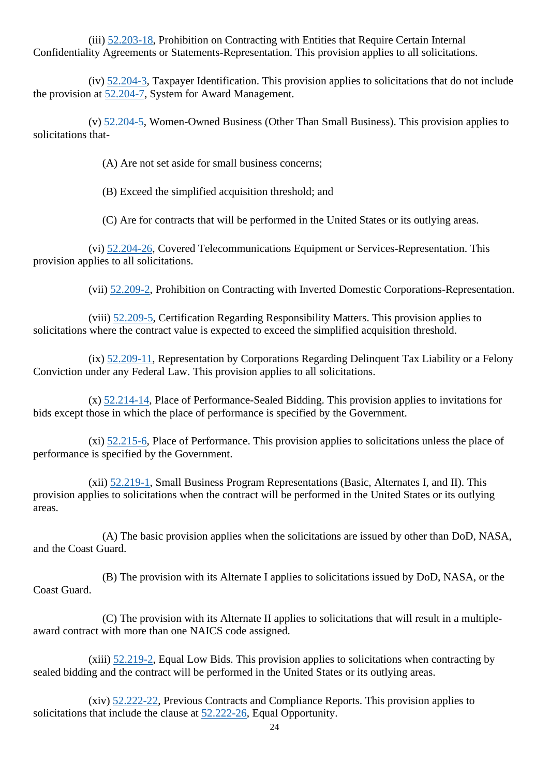(iii) [52.203-18,](https://www.acquisition.gov/content/52203-18-prohibition-contracting-entities-require-certain-internal-confidentiality-agreements-or-statements-representation#i52_203-18) Prohibition on Contracting with Entities that Require Certain Internal Confidentiality Agreements or Statements-Representation. This provision applies to all solicitations.

 (iv) [52.204-3,](https://www.acquisition.gov/content/52204-3-taxpayer-identification#i1063736) Taxpayer Identification. This provision applies to solicitations that do not include the provision at [52.204-7,](https://www.acquisition.gov/content/52204-7-system-award-management#i1063838) System for Award Management.

 (v) [52.204-5,](https://www.acquisition.gov/content/52204-5-women-owned-business-other-small-business#i1063796) Women-Owned Business (Other Than Small Business). This provision applies to solicitations that-

(A) Are not set aside for small business concerns;

(B) Exceed the simplified acquisition threshold; and

(C) Are for contracts that will be performed in the United States or its outlying areas.

 (vi) [52.204-26,](https://www.acquisition.gov/content/52204-26-covered-telecommunications-equipment-or-services-representation#id19CAC0P0ESS) Covered Telecommunications Equipment or Services-Representation. This provision applies to all solicitations.

(vii) [52.209-2,](https://www.acquisition.gov/content/52209-2-prohibition-contracting-inverted-domestic-corporations-representation#i1062479) Prohibition on Contracting with Inverted Domestic Corporations-Representation.

 (viii) [52.209-5,](https://www.acquisition.gov/content/52209-5-certification-regarding-responsibility-matters#i1062558) Certification Regarding Responsibility Matters. This provision applies to solicitations where the contract value is expected to exceed the simplified acquisition threshold.

 (ix) [52.209-11,](https://www.acquisition.gov/content/52209-11-representation-corporations-regarding-delinquent-tax-liability-or-felony-conviction-under-any-federal-law#id165RA0UH01A) Representation by Corporations Regarding Delinquent Tax Liability or a Felony Conviction under any Federal Law. This provision applies to all solicitations.

 (x) [52.214-14,](https://www.acquisition.gov/content/52214-14-place-performance-sealed-bidding#i1059991) Place of Performance-Sealed Bidding. This provision applies to invitations for bids except those in which the place of performance is specified by the Government.

 (xi) [52.215-6,](https://www.acquisition.gov/content/52215-6-place-performance#i1059247) Place of Performance. This provision applies to solicitations unless the place of performance is specified by the Government.

 (xii) [52.219-1,](https://www.acquisition.gov/content/52219-1-small-business-program-representations#i1057235) Small Business Program Representations (Basic, Alternates I, and II). This provision applies to solicitations when the contract will be performed in the United States or its outlying areas.

 (A) The basic provision applies when the solicitations are issued by other than DoD, NASA, and the Coast Guard.

 (B) The provision with its Alternate I applies to solicitations issued by DoD, NASA, or the Coast Guard.

 (C) The provision with its Alternate II applies to solicitations that will result in a multipleaward contract with more than one NAICS code assigned.

 (xiii) [52.219-2,](https://www.acquisition.gov/content/52219-2-equal-low-bids#i1057302) Equal Low Bids. This provision applies to solicitations when contracting by sealed bidding and the contract will be performed in the United States or its outlying areas.

 (xiv) [52.222-22,](https://www.acquisition.gov/content/52222-22-previous-contracts-and-compliance-reports#i1055729) Previous Contracts and Compliance Reports. This provision applies to solicitations that include the clause at [52.222-26,](https://www.acquisition.gov/content/52222-26-equal-opportunity#i1055793) Equal Opportunity.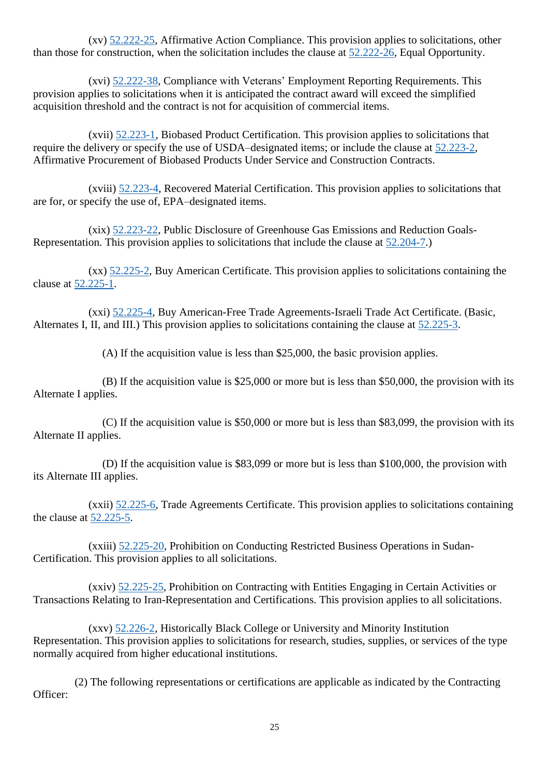(xv) [52.222-25,](https://www.acquisition.gov/content/52222-25-affirmative-action-compliance#i1055782) Affirmative Action Compliance. This provision applies to solicitations, other than those for construction, when the solicitation includes the clause at [52.222-26,](https://www.acquisition.gov/content/52222-26-equal-opportunity#i1055793) Equal Opportunity.

 (xvi) [52.222-38,](https://www.acquisition.gov/content/52222-38-compliance-veterans%E2%80%99-employment-reporting-requirements#i1056289) Compliance with Veterans' Employment Reporting Requirements. This provision applies to solicitations when it is anticipated the contract award will exceed the simplified acquisition threshold and the contract is not for acquisition of commercial items.

 (xvii) [52.223-1,](https://www.acquisition.gov/content/52223-1-biobased-product-certification#i1052963) Biobased Product Certification. This provision applies to solicitations that require the delivery or specify the use of USDA–designated items; or include the clause at [52.223-2,](https://www.acquisition.gov/content/52223-2-affirmative-procurement-biobased-products-under-service-and-construction-contracts#i1052973) Affirmative Procurement of Biobased Products Under Service and Construction Contracts.

 (xviii) [52.223-4,](https://www.acquisition.gov/content/52223-4-recovered-material-certification#i1053040) Recovered Material Certification. This provision applies to solicitations that are for, or specify the use of, EPA–designated items.

 (xix) [52.223-22,](https://www.acquisition.gov/content/52223-22-public-disclosure-greenhouse-gas-emissions-and-reduction-goals-representation#CDCHDCIFF4) Public Disclosure of Greenhouse Gas Emissions and Reduction Goals-Representation. This provision applies to solicitations that include the clause at [52.204-7.](https://www.acquisition.gov/content/52204-7-system-award-management#i1063838))

 (xx) [52.225-2,](https://www.acquisition.gov/content/52225-2-buy-american-certificate#i1053411) Buy American Certificate. This provision applies to solicitations containing the clause at [52.225-1.](https://www.acquisition.gov/content/52225-1-buy-american-supplies#i1053372)

 (xxi) [52.225-4,](https://www.acquisition.gov/content/52225-4-buy-american-free-trade-agreements-israeli-trade-act-certificate#i1053526) Buy American-Free Trade Agreements-Israeli Trade Act Certificate. (Basic, Alternates I, II, and III.) This provision applies to solicitations containing the clause at [52.225-3.](https://www.acquisition.gov/content/52225-3-buy-american-free-trade-agreements-israeli-trade-act#i1053446)

(A) If the acquisition value is less than \$25,000, the basic provision applies.

 (B) If the acquisition value is \$25,000 or more but is less than \$50,000, the provision with its Alternate I applies.

 (C) If the acquisition value is \$50,000 or more but is less than \$83,099, the provision with its Alternate II applies.

 (D) If the acquisition value is \$83,099 or more but is less than \$100,000, the provision with its Alternate III applies.

 (xxii) [52.225-6,](https://www.acquisition.gov/content/52225-6-trade-agreements-certificate#i1053693) Trade Agreements Certificate. This provision applies to solicitations containing the clause at  $52.225-5$ .

 (xxiii) [52.225-20,](https://www.acquisition.gov/content/52225-20-prohibition-conducting-restricted-business-operations-sudan-certification#i1054426) Prohibition on Conducting Restricted Business Operations in Sudan-Certification. This provision applies to all solicitations.

 (xxiv) [52.225-25,](https://www.acquisition.gov/content/52225-25-prohibition-contracting-entities-engaging-certain-activities-or-transactions-relating-iran-representation-and-certifications#i1054876) Prohibition on Contracting with Entities Engaging in Certain Activities or Transactions Relating to Iran-Representation and Certifications. This provision applies to all solicitations.

 (xxv) [52.226-2,](https://www.acquisition.gov/content/52226-2-historically-black-college-or-university-and-minority-institution-representation#i1054999) Historically Black College or University and Minority Institution Representation. This provision applies to solicitations for research, studies, supplies, or services of the type normally acquired from higher educational institutions.

 (2) The following representations or certifications are applicable as indicated by the Contracting Officer: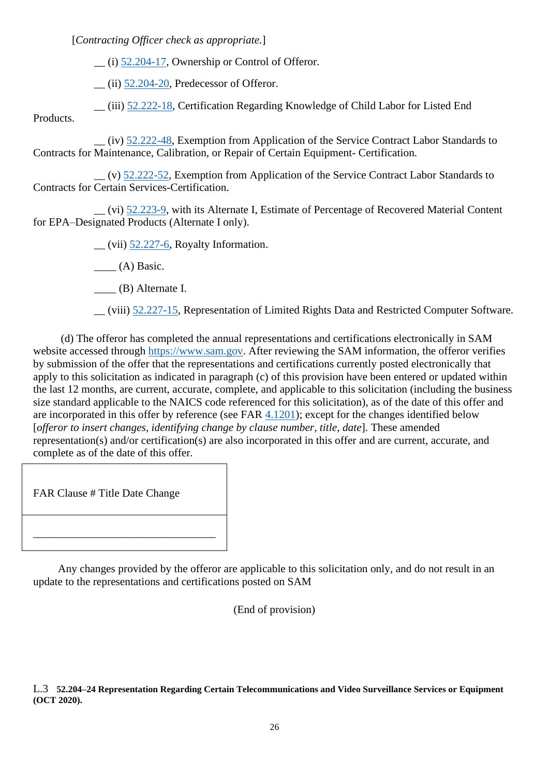[*Contracting Officer check as appropriate.*]

 $(i)$  [52.204-17,](https://www.acquisition.gov/content/52204-17-ownership-or-control-offeror#i1064305) Ownership or Control of Offeror.

 $(i)$  [52.204-20,](https://www.acquisition.gov/content/52204-20-predecessor-offeror#id165VE00099X) Predecessor of Offeror.

\_\_ (iii) [52.222-18,](https://www.acquisition.gov/content/52222-18-certification-regarding-knowledge-child-labor-listed-end-products#i1055635) Certification Regarding Knowledge of Child Labor for Listed End

Products.

 \_\_ (iv) [52.222-48,](https://www.acquisition.gov/content/52222-48-exemption-application-service-contract-labor-standards-contracts-maintenance-calibration-or-repair-certain-equipment-certification#i1056493) Exemption from Application of the Service Contract Labor Standards to Contracts for Maintenance, Calibration, or Repair of Certain Equipment- Certification.

 \_\_ (v) [52.222-52,](https://www.acquisition.gov/content/52222-52-exemption-application-service-contract-labor-standards-contracts-certain-services-certification#i1056701) Exemption from Application of the Service Contract Labor Standards to Contracts for Certain Services-Certification.

 \_\_ (vi) [52.223-9,](https://www.acquisition.gov/content/52223-9-estimate-percentage-recovered-material-content-epa-designated-items#i1053138) with its Alternate I, Estimate of Percentage of Recovered Material Content for EPA–Designated Products (Alternate I only).

 $\frac{1}{2}$  (vii) [52.227-6,](https://www.acquisition.gov/content/52227-6-royalty-information#i1052268) Royalty Information.

 $\_\_$  (A) Basic.

\_\_\_\_ (B) Alternate I.

\_\_ (viii) [52.227-15,](https://www.acquisition.gov/content/52227-15-representation-limited-rights-data-and-restricted-computer-software#i1052648) Representation of Limited Rights Data and Restricted Computer Software.

 (d) The offeror has completed the annual representations and certifications electronically in SAM website accessed through [https://www.sam.gov.](https://www.sam.gov/) After reviewing the SAM information, the offeror verifies by submission of the offer that the representations and certifications currently posted electronically that apply to this solicitation as indicated in paragraph (c) of this provision have been entered or updated within the last 12 months, are current, accurate, complete, and applicable to this solicitation (including the business size standard applicable to the NAICS code referenced for this solicitation), as of the date of this offer and are incorporated in this offer by reference (see FAR [4.1201\)](https://www.acquisition.gov/content/41201-policy#i1121876); except for the changes identified below [*offeror to insert changes, identifying change by clause number, title, date*]. These amended representation(s) and/or certification(s) are also incorporated in this offer and are current, accurate, and complete as of the date of this offer.

FAR Clause # Title Date Change

\_\_\_\_\_\_\_\_\_\_\_\_\_\_\_\_\_\_\_\_\_\_\_\_\_\_\_\_\_\_\_\_\_

 Any changes provided by the offeror are applicable to this solicitation only, and do not result in an update to the representations and certifications posted on SAM

(End of provision)

L.3 **52.204–24 Representation Regarding Certain Telecommunications and Video Surveillance Services or Equipment (OCT 2020).**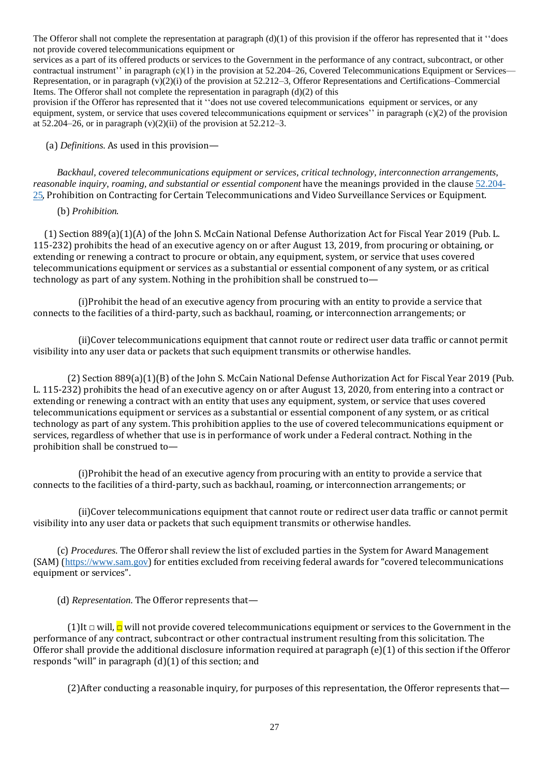The Offeror shall not complete the representation at paragraph  $(d)(1)$  of this provision if the offeror has represented that it "does" not provide covered telecommunications equipment or

services as a part of its offered products or services to the Government in the performance of any contract, subcontract, or other contractual instrument'' in paragraph  $(c)(1)$  in the provision at 52.204–26, Covered Telecommunications Equipment or Services-Representation, or in paragraph (v)(2)(i) of the provision at 52.212–3, Offeror Representations and Certifications–Commercial Items. The Offeror shall not complete the representation in paragraph (d)(2) of this

provision if the Offeror has represented that it ''does not use covered telecommunications equipment or services, or any equipment, system, or service that uses covered telecommunications equipment or services'' in paragraph (c)(2) of the provision at 52.204–26, or in paragraph  $(v)(2)(ii)$  of the provision at 52.212–3.

(a) *Definitions.* As used in this provision—

 *Backhaul, covered telecommunications equipment or services, critical technology, interconnection arrangements, reasonable inquiry, roaming, and substantial or essential component* have the meanings provided in the clause [52.204-](https://www.acquisition.gov/content/part-52-solicitation-provisions-and-contract-clauses#unique_1605198408) [25](https://www.acquisition.gov/content/part-52-solicitation-provisions-and-contract-clauses#unique_1605198408), Prohibition on Contracting for Certain Telecommunications and Video Surveillance Services or Equipment.

(b) *Prohibition*.

(1) Section 889(a)(1)(A) of the John S. McCain National Defense Authorization Act for Fiscal Year 2019 (Pub. L. 115-232) prohibits the head of an executive agency on or after August 13, 2019, from procuring or obtaining, or extending or renewing a contract to procure or obtain, any equipment, system, or service that uses covered telecommunications equipment or services as a substantial or essential component of any system, or as critical technology as part of any system. Nothing in the prohibition shall be construed to—

 (i)Prohibit the head of an executive agency from procuring with an entity to provide a service that connects to the facilities of a third-party, such as backhaul, roaming, or interconnection arrangements; or

 (ii)Cover telecommunications equipment that cannot route or redirect user data traffic or cannot permit visibility into any user data or packets that such equipment transmits or otherwise handles.

 (2) Section 889(a)(1)(B) of the John S. McCain National Defense Authorization Act for Fiscal Year 2019 (Pub. L. 115-232) prohibits the head of an executive agency on or after August 13, 2020, from entering into a contract or extending or renewing a contract with an entity that uses any equipment, system, or service that uses covered telecommunications equipment or services as a substantial or essential component of any system, or as critical technology as part of any system. This prohibition applies to the use of covered telecommunications equipment or services, regardless of whether that use is in performance of work under a Federal contract. Nothing in the prohibition shall be construed to—

 (i)Prohibit the head of an executive agency from procuring with an entity to provide a service that connects to the facilities of a third-party, such as backhaul, roaming, or interconnection arrangements; or

 (ii)Cover telecommunications equipment that cannot route or redirect user data traffic or cannot permit visibility into any user data or packets that such equipment transmits or otherwise handles.

 (c) *Procedures.* The Offeror shall review the list of excluded parties in the System for Award Management (SAM) ([https://www.sam.gov](https://www.sam.gov/)) for entities excluded from receiving federal awards for "covered telecommunications equipment or services".

(d) *Representation.* The Offeror represents that—

 (1)It *□* will, *□* will not provide covered telecommunications equipment or services to the Government in the performance of any contract, subcontract or other contractual instrument resulting from this solicitation. The Offeror shall provide the additional disclosure information required at paragraph (e)(1) of this section if the Offeror responds "will" in paragraph  $(d)(1)$  of this section; and

(2)After conducting a reasonable inquiry, for purposes of this representation, the Offeror represents that—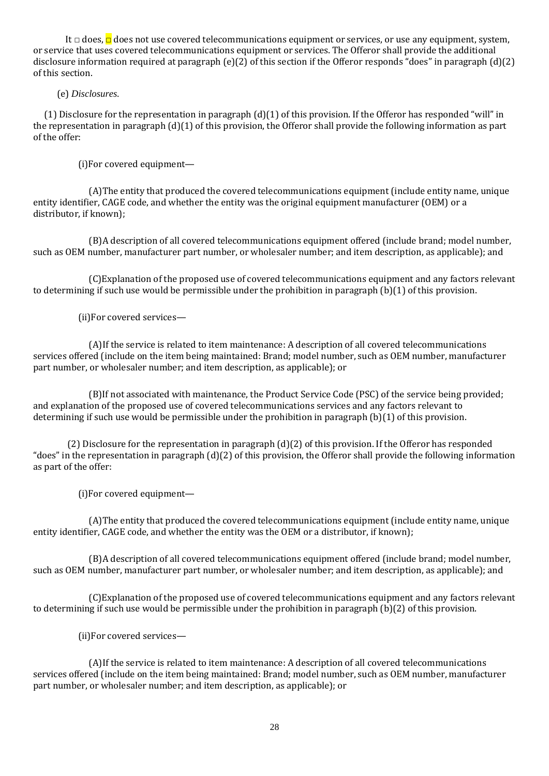It *□* does, *□* does not use covered telecommunications equipment or services, or use any equipment, system, or service that uses covered telecommunications equipment or services. The Offeror shall provide the additional disclosure information required at paragraph (e)(2) of this section if the Offeror responds "does" in paragraph (d)(2) of this section.

#### (e) *Disclosures.*

(1) Disclosure for the representation in paragraph (d)(1) of this provision. If the Offeror has responded "will" in the representation in paragraph (d)(1) of this provision, the Offeror shall provide the following information as part of the offer:

(i)For covered equipment—

 (A)The entity that produced the covered telecommunications equipment (include entity name, unique entity identifier, CAGE code, and whether the entity was the original equipment manufacturer (OEM) or a distributor, if known);

 (B)A description of all covered telecommunications equipment offered (include brand; model number, such as OEM number, manufacturer part number, or wholesaler number; and item description, as applicable); and

 (C)Explanation of the proposed use of covered telecommunications equipment and any factors relevant to determining if such use would be permissible under the prohibition in paragraph (b)(1) of this provision.

(ii)For covered services—

 (A)If the service is related to item maintenance: A description of all covered telecommunications services offered (include on the item being maintained: Brand; model number, such as OEM number, manufacturer part number, or wholesaler number; and item description, as applicable); or

 (B)If not associated with maintenance, the Product Service Code (PSC) of the service being provided; and explanation of the proposed use of covered telecommunications services and any factors relevant to determining if such use would be permissible under the prohibition in paragraph (b)(1) of this provision.

 (2) Disclosure for the representation in paragraph (d)(2) of this provision. If the Offeror has responded "does" in the representation in paragraph  $(d)(2)$  of this provision, the Offeror shall provide the following information as part of the offer:

(i)For covered equipment—

 (A)The entity that produced the covered telecommunications equipment (include entity name, unique entity identifier, CAGE code, and whether the entity was the OEM or a distributor, if known);

 (B)A description of all covered telecommunications equipment offered (include brand; model number, such as OEM number, manufacturer part number, or wholesaler number; and item description, as applicable); and

 (C)Explanation of the proposed use of covered telecommunications equipment and any factors relevant to determining if such use would be permissible under the prohibition in paragraph (b)(2) of this provision.

(ii)For covered services—

 (A)If the service is related to item maintenance: A description of all covered telecommunications services offered (include on the item being maintained: Brand; model number, such as OEM number, manufacturer part number, or wholesaler number; and item description, as applicable); or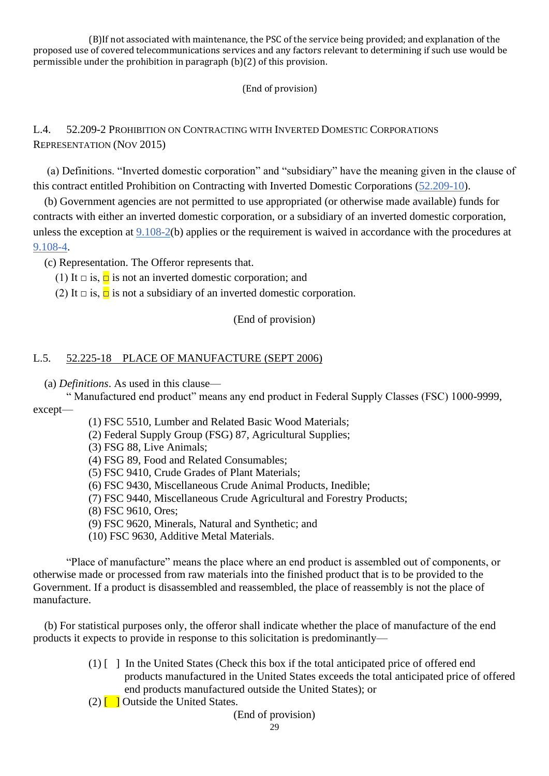(B)If not associated with maintenance, the PSC of the service being provided; and explanation of the proposed use of covered telecommunications services and any factors relevant to determining if such use would be permissible under the prohibition in paragraph (b)(2) of this provision.

#### (End of provision)

# L.4. 52.209-2 PROHIBITION ON CONTRACTING WITH INVERTED DOMESTIC CORPORATIONS REPRESENTATION (NOV 2015)

(a) Definitions. "Inverted domestic corporation" and "subsidiary" have the meaning given in the clause of this contract entitled Prohibition on Contracting with Inverted Domestic Corporations [\(52.209-10\)](https://www.acquisition.gov/sites/default/files/current/far/html/52_207_211.html#wp1146366).

(b) Government agencies are not permitted to use appropriated (or otherwise made available) funds for contracts with either an inverted domestic corporation, or a subsidiary of an inverted domestic corporation, unless the exception at [9.108-2\(](https://www.acquisition.gov/sites/default/files/current/far/html/Subpart%209_1.html#wp1085903)b) applies or the requirement is waived in accordance with the procedures at [9.108-4.](https://www.acquisition.gov/sites/default/files/current/far/html/Subpart%209_1.html#wp1085953)

(c) Representation. The Offeror represents that.

(1) It  $\Box$  is,  $\Box$  is not an inverted domestic corporation; and

(2) It  $\Box$  is,  $\Box$  is not a subsidiary of an inverted domestic corporation.

(End of provision)

## L.5. 52.225-18 PLACE OF MANUFACTURE (SEPT 2006)

(a) *Definitions*. As used in this clause—

" Manufactured end product" means any end product in Federal Supply Classes (FSC) 1000-9999, except—

- (1) FSC 5510, Lumber and Related Basic Wood Materials;
- (2) Federal Supply Group (FSG) 87, Agricultural Supplies;

(3) FSG 88, Live Animals;

- (4) FSG 89, Food and Related Consumables;
- (5) FSC 9410, Crude Grades of Plant Materials;
- (6) FSC 9430, Miscellaneous Crude Animal Products, Inedible;
- (7) FSC 9440, Miscellaneous Crude Agricultural and Forestry Products;
- (8) FSC 9610, Ores;
- (9) FSC 9620, Minerals, Natural and Synthetic; and
- (10) FSC 9630, Additive Metal Materials.

"Place of manufacture" means the place where an end product is assembled out of components, or otherwise made or processed from raw materials into the finished product that is to be provided to the Government. If a product is disassembled and reassembled, the place of reassembly is not the place of manufacture.

(b) For statistical purposes only, the offeror shall indicate whether the place of manufacture of the end products it expects to provide in response to this solicitation is predominantly—

- (1) [ ] In the United States (Check this box if the total anticipated price of offered end products manufactured in the United States exceeds the total anticipated price of offered end products manufactured outside the United States); or
- (2)  $\boxed{\phantom{a}}$  Outside the United States.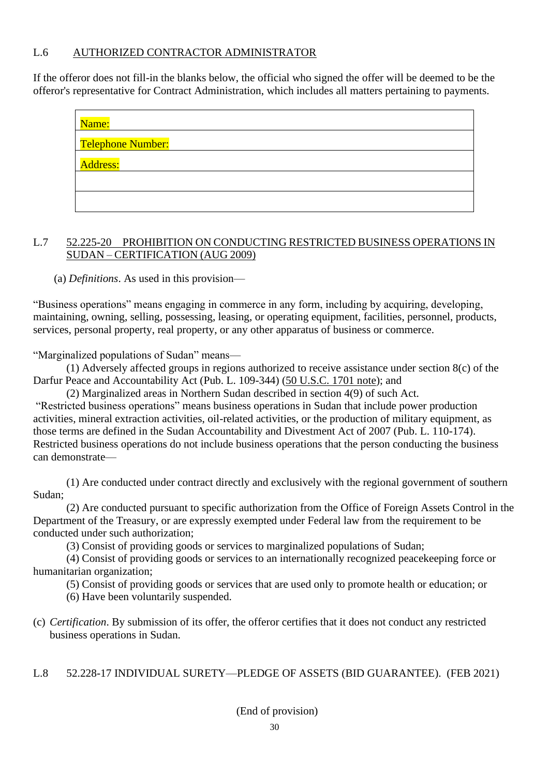## L.6 AUTHORIZED CONTRACTOR ADMINISTRATOR

If the offeror does not fill-in the blanks below, the official who signed the offer will be deemed to be the offeror's representative for Contract Administration, which includes all matters pertaining to payments.

| Name:             |  |
|-------------------|--|
| Telephone Number: |  |
| Address:          |  |
|                   |  |
|                   |  |

## L.7 52.225-20 PROHIBITION ON CONDUCTING RESTRICTED BUSINESS OPERATIONS IN SUDAN – CERTIFICATION (AUG 2009)

(a) *Definitions*. As used in this provision—

"Business operations" means engaging in commerce in any form, including by acquiring, developing, maintaining, owning, selling, possessing, leasing, or operating equipment, facilities, personnel, products, services, personal property, real property, or any other apparatus of business or commerce.

"Marginalized populations of Sudan" means—

(1) Adversely affected groups in regions authorized to receive assistance under section 8(c) of the Darfur Peace and Accountability Act (Pub. L. 109-344) [\(50 U.S.C. 1701 note\)](http://uscode.house.gov/); and

(2) Marginalized areas in Northern Sudan described in section 4(9) of such Act.

"Restricted business operations" means business operations in Sudan that include power production activities, mineral extraction activities, oil-related activities, or the production of military equipment, as those terms are defined in the Sudan Accountability and Divestment Act of 2007 (Pub. L. 110-174). Restricted business operations do not include business operations that the person conducting the business can demonstrate—

(1) Are conducted under contract directly and exclusively with the regional government of southern Sudan;

(2) Are conducted pursuant to specific authorization from the Office of Foreign Assets Control in the Department of the Treasury, or are expressly exempted under Federal law from the requirement to be conducted under such authorization;

(3) Consist of providing goods or services to marginalized populations of Sudan;

(4) Consist of providing goods or services to an internationally recognized peacekeeping force or humanitarian organization;

(5) Consist of providing goods or services that are used only to promote health or education; or

(6) Have been voluntarily suspended.

(c) *Certification*. By submission of its offer, the offeror certifies that it does not conduct any restricted business operations in Sudan.

# L.8 52.228-17 INDIVIDUAL SURETY—PLEDGE OF ASSETS (BID GUARANTEE). (FEB 2021)